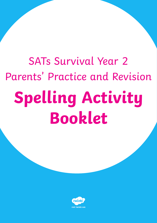# SATs Survival Year 2 Parents' Practice and Revision **Spelling Activity Booklet**

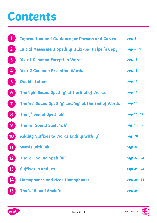# **Contents**

|                         | <b>Information and Guidance for Parents and Carers</b>    | page 5       |
|-------------------------|-----------------------------------------------------------|--------------|
| $\overline{2}$          | <b>Initial Assessment Spelling Quiz and Helper's Copy</b> | page 6 - 10  |
| $\overline{\mathbf{3}}$ | <b>Year 1 Common Exception Words</b>                      | page 11      |
| 4                       | <b>Year 2 Common Exception Words</b>                      | page 12      |
| $\sqrt{5}$              | <b>Double Letters</b>                                     | page 13      |
| 6                       | The 'igh' Sound Spelt 'y' at the End of Words             | page 14      |
| $\overline{\mathbf{7}}$ | The 'ee' Sound Spelt 'y' and 'ey' at the End of Words     | page 15      |
| 8                       | The 'f' Sound Spelt 'ph'                                  | page 16 - 17 |
| 9                       | The 'w' Sound Spelt 'wh'                                  | page 18 - 19 |
| $\sqrt{10}$             | Adding Suffixes to Words Ending with 'y'                  | page 20      |
| 11                      | Words with 'nk'                                           | page 21      |
|                         | The 'or' Sound Spelt 'al'                                 | page 22 - 23 |
| 13                      | Suffixes -s and -es                                       | page 24 - 25 |
| 14                      | <b>Homophones and Near-Homophones</b>                     | page 26 - 28 |
|                         | The 'u' Sound Spelt 'o'                                   | page 29      |

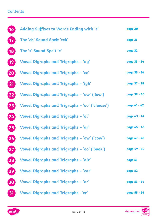### **Contents**

| (16)          | <b>Adding Suffixes to Words Ending with 'e'</b> | page 30      |
|---------------|-------------------------------------------------|--------------|
| (17)          | The 'ch' Sound Spelt 'tch'                      | page 31      |
| (18)          | The 's' Sound Spelt 'c'                         | page 32      |
| $\boxed{19}$  | Vowel Digraphs and Trigraphs - 'ay'             | page 33 - 34 |
| 20            | Vowel Digraphs and Trigraphs - 'ee'             | page 35 - 36 |
| 21            | <b>Vowel Digraphs and Trigraphs - 'igh'</b>     | page 37 - 38 |
| 22            | Vowel Digraphs and Trigraphs - 'ow' ('low')     | page 39 - 40 |
| 23            | Vowel Digraphs and Trigraphs – 'oo' ('choose')  | page 41 - 42 |
| 24            | Vowel Digraphs and Trigraphs - 'oi'             | page 43 - 44 |
| 25            | Vowel Digraphs and Trigraphs - 'ar'             | page 45 - 46 |
| 26            | Vowel Digraphs and Trigraphs – 'ow' ('cow')     | page 47 - 48 |
|               | Vowel Digraphs and Trigraphs – 'oo' ('book')    | page 49 - 50 |
| 28            | Vowel Digraphs and Trigraphs – 'air'            | page 51      |
| $\mathbf{29}$ | Vowel Digraphs and Trigraphs - 'ear'            | page 52      |
| 30            | Vowel Digraphs and Trigraphs - 'or'             | page 53 - 54 |
| 31            | <b>Vowel Digraphs and Trigraphs -'er'</b>       | page 55 - 56 |

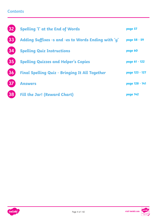### **Contents**

| $\overline{32}$ | <b>Spelling 'l' at the End of Words</b>               | page 57        |
|-----------------|-------------------------------------------------------|----------------|
| 33              | Adding Suffixes -s and -es to Words Ending with 'y'   | page 58 - 59   |
| $\overline{34}$ | <b>Spelling Quiz Instructions</b>                     | page 60        |
| 35              | <b>Spelling Quizzes and Helper's Copies</b>           | page 61 - 122  |
| 36              | <b>Final Spelling Quiz - Bringing It All Together</b> | page 123 - 127 |
| 37              | <b>Answers</b>                                        | page 128 - 141 |
| 38              | <b>Fill the Jar! (Reward Chart)</b>                   | page 142       |



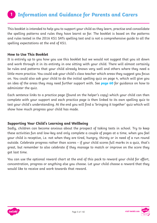### <span id="page-4-0"></span>**Information and Guidance for Parents and Carers 1**

This booklet is intended to help you to support your child as they learn, practise and consolidate the spelling patterns and rules they have learnt so far. The booklet is based on the patterns and rules tested in the 2016 KS1 SATs spelling test and is not a comprehensive guide to all the spelling expectations at the end of KS1.

#### **How to Use This Booklet**

It is entirely up to you how you use this booklet but we would not suggest that you sit down and work through it in its entirety in one sitting with your child. There will almost certainly be rules and patterns that your child already knows very well and others where they need a little more practice. You could ask your child's class teacher which areas they suggest you focus on. You could also ask your child to do the initial spelling quiz on page 4, which will give you an idea of the areas they may need further support with. See **[page 60](#page-59-0)** for guidance on how to administer the quiz.

Each sentence links to a practice page (found on the helper's copy) which your child can then complete with your support and each practice page is then linked to its own spelling quiz to test your child's understanding. At the end you will find a 'bringing it together' quiz which will show how much progress your child has made.

### **Supporting Your Child's Learning and Wellbeing**

Sadly, children can become anxious about the prospect of taking tests in school. Try to keep these activities fun and low-key and only complete a couple of pages at a time, when you feel your child is receptive, i.e. not when they are tired, hungry, thirsty or in need of a run round outside. Celebrate progress rather than scores – if your child scores full marks in a quiz, that's great, but remember to also celebrate if they manage to match or improve on the score they got last time.

You can use the optional reward chart at the end of this pack to reward your child for effort, concentration, progress or anything else you choose. Let your child choose a reward that they would like to receive and work towards that reward.



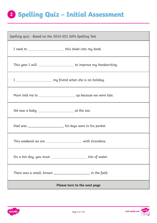# <span id="page-5-0"></span>**Spelling Quiz – Initial Assessment 2**

| Spelling quiz - Based on the 2016 KS1 SATs Spelling Test            |  |  |  |  |
|---------------------------------------------------------------------|--|--|--|--|
| I need to ______________________________this sheet into my book.    |  |  |  |  |
| This year I will _______________________ to improve my handwriting. |  |  |  |  |
| I __________________________ my friend when she is on holiday.      |  |  |  |  |
|                                                                     |  |  |  |  |
|                                                                     |  |  |  |  |
| Dad was ______________________ his keys were in his pocket.         |  |  |  |  |
| This weekend we are ________________________ with Grandma.          |  |  |  |  |
| On a hot day, you must ________________________ lots of water.      |  |  |  |  |
| There was a small, brown ________________________ in the field.     |  |  |  |  |
| Please turn to the next page                                        |  |  |  |  |

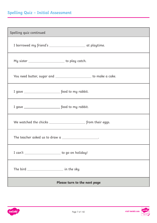# **Spelling Quiz – Initial Assessment**

| Spelling quiz continued                                |                                                                    |
|--------------------------------------------------------|--------------------------------------------------------------------|
|                                                        | I borrowed my friend's __________________________ at playtime.     |
| My sister __________________________ to play catch.    |                                                                    |
|                                                        | You need butter, sugar and _______________________ to make a cake. |
|                                                        |                                                                    |
|                                                        |                                                                    |
|                                                        |                                                                    |
| The teacher asked us to draw $a$ ____________________. |                                                                    |
| I can't _________________________ to go on holiday!    |                                                                    |
|                                                        |                                                                    |
|                                                        | Please turn to the next page                                       |

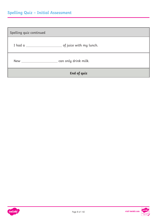# **Spelling Quiz – Initial Assessment**

| Spelling quiz continued |             |  |
|-------------------------|-------------|--|
|                         |             |  |
|                         |             |  |
|                         | End of quiz |  |



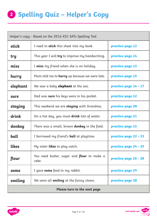# **<sup>2</sup> Spelling Quiz – Helper's Copy**

| Helper's copy - Based on the 2016 KS1 SATs Spelling Test |                                                            |                       |  |  |
|----------------------------------------------------------|------------------------------------------------------------|-----------------------|--|--|
| stick                                                    | I need to <b>stick</b> this sheet into my book.            | practice page 13      |  |  |
| try                                                      | This year I will <b>try</b> to improve my handwriting.     | practice page 14      |  |  |
| miss                                                     | I <b>miss</b> my friend when she is on holiday.            | practice page 13      |  |  |
| hurry                                                    | Mum told me to <b>hurry</b> up because we were late.       | practice page 15      |  |  |
| elephant                                                 | We saw a baby <b>elephant</b> at the zoo.                  | practice page 16 - 17 |  |  |
| sure                                                     | Dad was sure his keys were in his pocket.                  | practice page 12      |  |  |
| staying                                                  | This weekend we are <b>staying</b> with Grandma.           | practice page 20      |  |  |
| drink                                                    | On a hot day, you must <b>drink</b> lots of water.         | practice page 21      |  |  |
| donkey                                                   | There was a small, brown <b>donkey</b> in the field.       | practice page 15      |  |  |
| ball                                                     | I borrowed my friend's <b>ball</b> at playtime.            | practice page 22 - 23 |  |  |
| <b>Likes</b>                                             | My sister <b>likes</b> to play catch.                      | practice page 24 - 25 |  |  |
| flour                                                    | You need butter, sugar and <b>flour</b> to make a<br>cake. | practice page 26 - 28 |  |  |
| some                                                     | I gave <b>some</b> food to my rabbit.                      | practice page 29      |  |  |
| smiling                                                  | We were all smiling at the funny clown.                    | practice page 30      |  |  |
| Please turn to the next page                             |                                                            |                       |  |  |

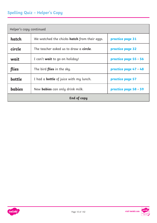# <span id="page-9-0"></span>**Spelling Quiz – Helper's Copy**

| Helper's copy continued |                                                     |                       |  |
|-------------------------|-----------------------------------------------------|-----------------------|--|
| hatch                   | We watched the chicks <b>hatch</b> from their eggs. | practice page 31      |  |
| circle                  | The teacher asked us to draw a <b>circle</b> .      | practice page 32      |  |
| wait                    | I can't <b>wait</b> to go on holiday!               | practice page 55 - 56 |  |
| flies                   | The bird <b>flies</b> in the sky.                   | practice page 47 - 48 |  |
| bottle                  | I had a <b>bottle</b> of juice with my lunch.       | practice page 57      |  |
| <b>babies</b>           | New <b>babies</b> can only drink milk.              | practice page 58 - 59 |  |
| <b>End of copy</b>      |                                                     |                       |  |



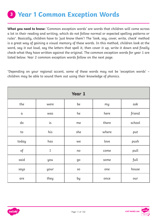# <span id="page-10-0"></span>**<sup>3</sup> Year 1 Common Exception Words**

**What you need to know:** 'Common exception words' are words that children will come across a lot in their reading and writing, which do not follow normal or expected spelling patterns or rules\*. Basically, children have to 'just know them'! The 'look, say, cover, write, check' method is a great way of gaining a visual memory of these words. In this method, children look at the word, say it out loud, say the letters that spell it, then cover it up, write it down and finally check what they have written against the original. The common exception words for year 1 are listed below. Year 2 common exception words follow on the next page.

\*Depending on your regional accent, some of these words may not be 'exception words' – children may be able to sound them out using their knowledge of phonics.

| Year 1     |      |     |       |        |
|------------|------|-----|-------|--------|
| the        | were | be  | my    | ask    |
| $\alpha$   | was  | he  | here  | friend |
| do         | is   | me  | there | school |
| ${\tt to}$ | his  | she | where | put    |
| today      | has  | we  | love  | push   |
| $\circ f$  | I    | no  | come  | pull   |
| said       | you  | go  | some  | full   |
| says       | your | SO  | one   | house  |
| are        | they | by  | once  | our    |



visit twinkl.com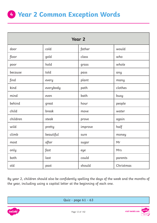<span id="page-11-0"></span>

| <b>Year 2</b> |           |         |           |
|---------------|-----------|---------|-----------|
| door          | cold      | father  | would     |
| floor         | gold      | class   | who       |
| poor          | hold      | grass   | whole     |
| because       | told      | pass    | any       |
| find          | every     | plant   | many      |
| kind          | everybody | path    | clothes   |
| mind          | even      | bath    | busy      |
| behind        | great     | hour    | people    |
| child         | break     | move    | water     |
| children      | steak     | prove   | again     |
| wild          | pretty    | improve | half      |
| climb         | beautiful | sure    | money     |
| most          | after     | sugar   | Mr        |
| only          | fast      | eye     | Mrs       |
| both          | last      | could   | parents   |
| old           | past      | should  | Christmas |

By year 2, children should also be confidently spelling the days of the week and the months of the year, including using a capital letter at the beginning of each one.



[Quiz - page 61 - 63](#page-60-0)

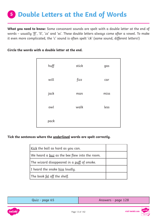# <span id="page-12-0"></span>**Double Letters at the End of Words 5**

**What you need to know:** Some consonant sounds are spelt with a double letter at the end of words – usually 'ff', 'll', 'zz' and 'ss'. These double letters always come after a vowel. To make it even more complicated, the 'c' sound is often spelt 'ck' (same sound, different letters!)

**Circle the words with a double letter at the end.**

| huff | stick | gas  |
|------|-------|------|
| will | fizz  | car  |
| jack | man   | miss |
| owl  | walk  | less |
| pack |       |      |

**Tick the sentences where the underlined words are spelt correctly.** 

| Kick the ball as hard as you can.             |  |
|-----------------------------------------------|--|
| We heard a buz as the bee flew into the room. |  |
| The wizard disappeared in a puff of smoke.    |  |
| I heard the snake <u>hiss</u> loudly.         |  |
| The book <u>fel</u> off the shelf.            |  |

| Quiz - page 65 | Answers - page 128 |
|----------------|--------------------|
|----------------|--------------------|



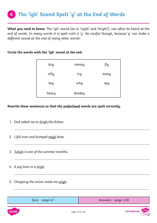<span id="page-13-0"></span>**What you need to know:** The 'igh' sound (as in 'night' and 'bright'), can often be heard at the end of words. In many words it is spelt with a 'y'. Be careful though, because 'y' can make a different sound at the end of many other words!

#### **Circle the words with the 'igh' sound at the end.**

| buy   | money  | fly  |
|-------|--------|------|
| silly | try    | away |
| key   | why    | spy  |
| heavy | donkey |      |

### **Rewrite these sentences so that the underlined words are spelt correctly.**

- 1. Dad asked me to drigh the dishes.
- 2. I fell over and bumped migh knee.
- 3. Juligh is one of the summer months.
- 4. A pig lives in a stigh.
- 5. Chopping the onion made me crigh.

| Quiz - page 67 | Answers - page 128 |
|----------------|--------------------|
|                |                    |

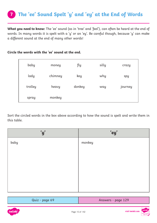<span id="page-14-0"></span>**What you need to know:** The 'ee' sound (as in 'tree' and 'feel'), can often be heard at the end of words. In many words it is spelt with a 'y' or an 'ey'. Be careful though, because 'y' can make a different sound at the end of many other words!

#### **Circle the words with the 'ee' sound at the end.**

| baby    | money   | fly    | silly | crazy   |
|---------|---------|--------|-------|---------|
| lady    | chimney | key    | why   | spy     |
| trolley | heavy   | donkey | way   | journey |
| spray   | monkey  |        |       |         |

Sort the circled words in the box above according to how the sound is spelt and write them in this table.

| 'y'  | 'ey'   |
|------|--------|
| baby | monkey |
|      |        |
|      |        |
|      |        |
|      |        |
|      |        |

| Quiz - page 69 | Answers - page 129 |  |
|----------------|--------------------|--|
|                |                    |  |
|                |                    |  |

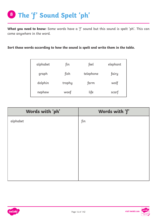<span id="page-15-0"></span>**What you need to know:** Some words have a 'f' sound but this sound is spelt 'ph'. This can come anywhere in the word.

**Sort these words according to how the sound is spelt and write them in the table.**

| alphabet | fin    | feel      | elephant |
|----------|--------|-----------|----------|
| graph    | fish   | telephone | fairy    |
| dolphin  | trophy | farm      | wolf     |
| nephew   | woof   | life      | scarf    |

| Words with 'ph' | Words with 'f' |
|-----------------|----------------|
| alphabet        | fin            |
|                 |                |
|                 |                |
|                 |                |
|                 |                |
|                 |                |
|                 |                |
|                 |                |



visit twinkl.com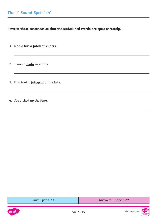<span id="page-16-0"></span>**Rewrite these sentences so that the underlined words are spelt correctly.**

- 1. Nadia has a **fobia** of spiders.
- 2. I won a **trofy** in karate.
- 3. Dad took a **fotograf** of the lake.
- 4. Jin picked up the **fone**.

| Quiz - page |  |
|-------------|--|
|-------------|--|



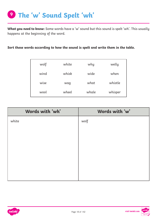<span id="page-17-0"></span>**What you need to know:** Some words have a 'w' sound but this sound is spelt 'wh'. This usually happens at the beginning of the word.

**Sort these words according to how the sound is spelt and write them in the table.**

| wolf | white | why   | welly   |
|------|-------|-------|---------|
| wind | whisk | wide  | when    |
| wise | wag   | what  | whistle |
| wool | wheel | whale | whisper |

| Words with 'wh' | Words with 'w' |
|-----------------|----------------|
| white           | wolf           |
|                 |                |
|                 |                |
|                 |                |
|                 |                |
|                 |                |
|                 |                |
|                 |                |



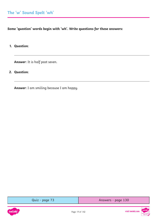<span id="page-18-0"></span>**Some 'question' words begin with 'wh'. Write questions for these answers:**

**1. Question**:

**Answer**: It is half past seven.

**2. Question**:

**Answer**: I am smiling because I am happy.



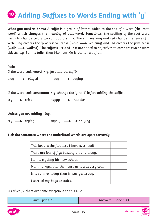# <span id="page-19-0"></span>**10** Adding Suffixes to Words Ending with 'y'

**What you need to know:** A suffix is a group of letters added to the end of a word (the 'root' word) which changes the meaning of that word. Sometimes, the spelling of the root word needs to change before we can add a suffix. The suffixes –ing and -ed change the tense of a verb; -ing creates the 'progressive' tense (walk  $\longrightarrow$  walking) and -ed creates the past tense (walk  $\longrightarrow$  walked). The suffixes –er and –est are added to adjectives to compare two or more objects, e.g. Sam is taller than Max, but Mo is the tallest of all.

#### **Rule**

If the word ends **vowel + y**, just add the suffix\*.

 $play \longrightarrow played \quad say \longrightarrow saying$ 

If the word ends **consonant + y**, change the 'y' to 'i' before adding the suffix\*.

 $cry \longrightarrow cried$  happy  $\longrightarrow$  happier

### **Unless you are adding –ing.**

 $cry \longrightarrow crying$  supply  $\longrightarrow$  supplying

#### **Tick the sentences where the underlined words are spelt correctly.**

| This book is the funniest I have ever read!     |  |
|-------------------------------------------------|--|
| There are lots of flys buzzing around today.    |  |
| Sam is enjoling his new school.                 |  |
| Mum hurryed into the house as it was very cold. |  |
| It is sunnier today than it was yesterday.      |  |
| I carried my bags upstairs.                     |  |

\*As always, there are some exceptions to this rule.

|  |  |  |  | Quiz - page 75 |  |  |  |
|--|--|--|--|----------------|--|--|--|
|--|--|--|--|----------------|--|--|--|

[Answers - page 130](#page-129-0)



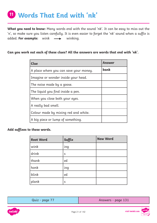# <span id="page-20-0"></span>**Words That End with 'nk' <sup>11</sup>**

**What you need to know:** Many words end with the sound 'nk'. It can be easy to miss out the 'n', so make sure you listen carefully. It is even easier to forget the 'nk' sound when a suffix is added. For example: wink  $\longrightarrow$  winking.

### **Can you work out each of these clues? All the answers are words that end with 'nk'.**

| <b>Clue</b>                            | Answer |
|----------------------------------------|--------|
| A place where you can save your money. | bank   |
| Imagine or wonder inside your head.    |        |
| The noise made by a goose.             |        |
| The liquid you find inside a pen.      |        |
| When you close both your eyes.         |        |
| A really bad smell.                    |        |
| Colour made by mixing red and white.   |        |
| A biq piece or lump of something.      |        |

### **Add suffixes to these words.**

| <b>Root Word</b> | Suffix | <b>New Word</b> |
|------------------|--------|-----------------|
| wink             | ing    |                 |
| drink            | S      |                 |
| thank            | ed     |                 |
| honk             | ing    |                 |
| blink            | ed     |                 |
| plank            | S      |                 |

| Quiz - page 77 |  |
|----------------|--|
|----------------|--|

[Answers - page 131](#page-130-0)

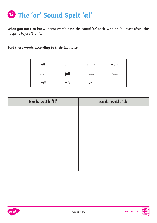<span id="page-21-0"></span>**What you need to know:** Some words have the sound 'or' spelt with an 'a'. Most often, this happens before 'l' or 'll'

**Sort these words according to their last letter.**

| all   | ball | chalk | walk |
|-------|------|-------|------|
| stall | fall | tall  | hall |
| call  | talk | wall  |      |

| Ends with 'll' | Ends with 'lk' |
|----------------|----------------|
|                |                |
|                |                |
|                |                |
|                |                |
|                |                |
|                |                |
|                |                |
|                |                |

Page 22 of 142



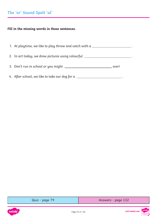# <span id="page-22-0"></span>**The 'or' Sound Spelt 'al'**

### **Fill in the missing words in these sentences.**

| 1. At playtime, we like to play throw and catch with a $\_\_$                    |       |
|----------------------------------------------------------------------------------|-------|
| 2. In art today, we drew pictures using colourful ______________________________ |       |
|                                                                                  | over! |
| 4. After school, we like to take our dog for a                                   |       |



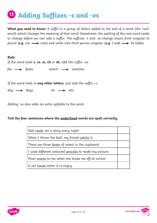# <span id="page-23-0"></span>**Adding Suffixes -s and -es <sup>13</sup>**

**What you need to know:** A suffix is a group of letters added to the end of a word (the 'root' word) which changes the meaning of that word. Sometimes, the spelling of the root word needs to change before we can add a suffix. The suffixes -s and -es change nouns from singular to plural (e.g. cat  $\longrightarrow$  cats) and verbs into third person singular (e.g. I talk  $\longrightarrow$  he talks).

### **Rule**

If the word ends **x**, **zz**, **ss**, **ch** or **sh**, add the suffix –es.

 $f$ ox  $\longrightarrow$  foxes watch  $\longrightarrow$  watches

If the word ends in **any other letters**, just add the suffix –s.

 $day \longrightarrow days$  sit  $\longrightarrow$  sits

Adding -es also adds an extra syllable to the word.

#### **Tick the four sentences where the underlined words are spelt correctly.**

| Dad reads me a story every night.                      |  |
|--------------------------------------------------------|--|
| When I throw the ball, my friend catchs it.            |  |
| There are three boxes of cereal in the cupboard.       |  |
| I used different coloured penciles to make my picture. |  |
| Mum waves to me when she drops me off at school.       |  |
| A cat hisses when it is angry.                         |  |



visit twinkl.com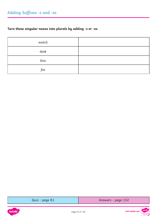# <span id="page-24-0"></span>**Turn these singular nouns into plurals by adding -s or -es.**

| watch |  |
|-------|--|
| desk  |  |
| kiss  |  |
| fox   |  |

[Quiz - page 81](#page-80-0) [Answers - page 132](#page-131-0)



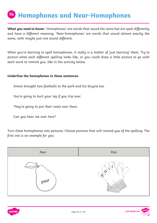# <span id="page-25-0"></span>**Homophones and Near-Homophones <sup>14</sup>**

**What you need to know:** 'Homophones' are words that sound the same but are spelt differently and have a different meaning. 'Near-homophones' are words that sound almost exactly the same, with maybe just one sound different.

When you're learning to spell homophones, it really is a matter of 'just learning' them. Try to picture what each different spelling looks like, or you could draw a little picture to go with each word to remind you, like in the activity below.

#### **Underline the homophones in these sentences.**

Simon brought two footballs to the park and his bicycle too.

You're going to hurt your leg if you trip over.

They're going to put their coats over there.

Can you hear me over here?

Turn these homophones into pictures. Choose pictures that will remind you of the spelling. The first one is an example for you:





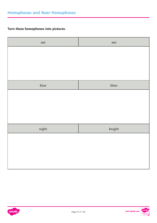# **Turn these homophones into pictures.**

| see   | sea    |
|-------|--------|
|       |        |
|       |        |
|       |        |
|       |        |
| blue  | blew   |
|       |        |
|       |        |
|       |        |
|       |        |
|       |        |
| night | knight |
|       |        |
|       |        |
|       |        |
|       |        |
|       |        |



visit twinkl.com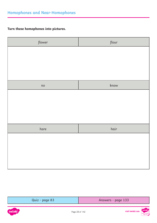# <span id="page-27-0"></span>**Turn these homophones into pictures.**

| flower | flour   |
|--------|---------|
|        |         |
|        |         |
|        |         |
|        |         |
| no     | $k$ now |
|        |         |
|        |         |
|        |         |
|        |         |
|        |         |
| hare   | hair    |
|        |         |
|        |         |
|        |         |
|        |         |
|        |         |

| Quiz - page 83 | Answers - page 133 |
|----------------|--------------------|
|                |                    |

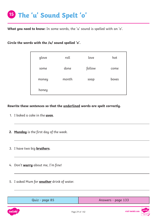# <span id="page-28-0"></span>**The 'u' Sound Spelt 'o' <sup>15</sup>**

**What you need to know:** In some words, the 'u' sound is spelled with an 'o'.

**Circle the words with the /u/ sound spelled 'o'.**

| glove | roll  | love   | hot   |
|-------|-------|--------|-------|
| some  | done  | follow | come  |
| money | month | soap   | boxes |
| honey |       |        |       |

**Rewrite these sentences so that the underlined words are spelt correctly.**

- 1. I baked a cake in the **uven**.
- **2. Munday** is the first day of the week.
- 3. I have two big **bruthers**.
- 4. Don't **wurry** about me, I'm fine!
- 5. I asked Mum for **anuther** drink of water.

| Quiz - page 85 | Answers - page 133 |
|----------------|--------------------|
|----------------|--------------------|

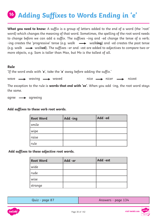# <span id="page-29-0"></span>**Adding Suffixes to Words Ending in 'e' <sup>16</sup>**

**What you need to know:** A suffix is a group of letters added to the end of a word (the 'root' word) which changes the meaning of that word. Sometimes, the spelling of the root word needs to change before we can add a suffix. The suffixes –ing and -ed change the tense of a verb; -ing creates the 'progressive' tense (e.g. walk  $\longrightarrow$  walking) and -ed creates the past tense (e.g. walk walk**ed**). The suffixes –er and –est are added to adjectives to compare two or more objects, e.g. Sam is taller than Max, but Mo is the tallest of all.

#### **Rule**

'If the word ends with '**e**', take the '**e**' away before adding the suffix.'

wave  $\longrightarrow$  waving  $\longrightarrow$  waved nice  $\longrightarrow$  nicer  $\longrightarrow$  nicest

The exception to the rule is **words that end with 'ee'**. When you add -ing, the root word stays the same.

 $\alpha$ greeing

#### **Add suffixes to these verb root words.**

| <b>Root Word</b> | Add -ing | Add -ed |
|------------------|----------|---------|
| smile            |          |         |
| wipe             |          |         |
| raise            |          |         |
| rule             |          |         |

 **Add suffixes to these adjective root words.** 

| <b>Root Word</b> | Add -er | Add -est |
|------------------|---------|----------|
| wide             |         |          |
| rude             |         |          |
| wise             |         |          |
| strange          |         |          |

| Quiz - page 87 | Answers - page 134 |
|----------------|--------------------|
|----------------|--------------------|



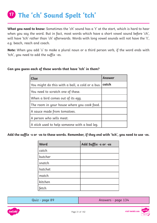# <span id="page-30-0"></span>**The 'ch' Sound Spelt 'tch' <sup>17</sup>**

**What you need to know:** Sometimes the 'ch' sound has a 't' at the start, which is hard to hear when you say the word. But in fact, most words which have a short vowel sound before 'ch', will have 'tch' rather than 'ch' afterwards. Words with long vowel sounds will not have the 't', e.g. beach, reach and coach.

**Note:** When you add 's' to make a plural noun or a third person verb, if the word ends with 'tch', you need to add the suffix -es.

| <b>Clue</b>                                     | <b>Answer</b> |
|-------------------------------------------------|---------------|
| You might do this with a ball, a cold or a bus. | catch         |
| You need to scratch one of these.               |               |
| When a bird comes out of its egg.               |               |
| The room in your house where you cook food.     |               |
| A sauce made from tomatoes.                     |               |
| A person who sells meat.                        |               |
| A stick used to help someone with a bad leg.    |               |

### **Can you guess each of these words that have 'tch' in them?**

**Add the suffix -s or -es to these words. Remember, if they end with 'tch', you need to use -es.**

| <b>Word</b> | Add Suffix -s or -es |
|-------------|----------------------|
| catch       |                      |
| butcher     |                      |
| snatch      |                      |
| hatchet     |                      |
| match       |                      |
| kitchen     |                      |
| fetch       |                      |

| Quiz - page 8 |  |  |
|---------------|--|--|
|---------------|--|--|

quiz - page 134 [Answers - page 134](#page-133-0)

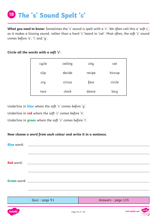<span id="page-31-0"></span>**What you need to know:** Sometimes the 's' sound is spelt with a 'c'. We often call this a 'soft c', as it makes a hissing sound, rather than a hard 'c' heard in 'cat'. Most often, the soft 'c' sound comes before 'e', 'i' and 'y'.

#### **Circle all the words with a soft 'c'.**

| cycle | ceiling | city   | cat    |
|-------|---------|--------|--------|
| clip  | decide  | recipe | hiccup |
| cry   | circus  | face   | circle |
| race  | clock   | dance  | lacy   |

Underline in **blue** where the soft 'c' comes before 'y'.

Underline in **red** where the soft 'c' comes before 'e'.

Underline in **green** where the soft 'c' comes before 'i'.

### **Now choose a word from each colour and write it in a sentence.**

|                  | <b>Blue</b> word: <b>Example 2014</b> |                        |                             |
|------------------|---------------------------------------|------------------------|-----------------------------|
|                  |                                       |                        |                             |
|                  |                                       |                        |                             |
| Red word:        |                                       |                        |                             |
|                  |                                       |                        |                             |
|                  |                                       |                        |                             |
|                  |                                       |                        |                             |
|                  |                                       |                        |                             |
|                  |                                       |                        |                             |
|                  |                                       |                        |                             |
|                  | Quiz - page 91                        | Answers - page 135     |                             |
|                  |                                       |                        |                             |
| int <sub>1</sub> |                                       | $D_{200}$ $22.6$ f 142 | twinkl,<br>visit twinkl.com |

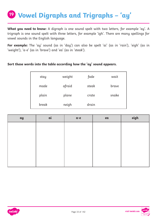# <span id="page-32-0"></span>**Vowel Digraphs and Trigraphs – 'ay' <sup>19</sup>**

**What you need to know:** A digraph is one sound spelt with two letters, for example 'ay'. A trigraph is one sound spelt with three letters, for example 'igh'. There are many spellings for vowel sounds in the English language.

**For example:** The 'ay' sound (as in 'day') can also be spelt 'ai' (as in 'rain'), 'eigh' (as in 'weight'), 'a-e' (as in 'brave') and 'ea' (as in 'steak').

### **Sort these words into the table according how the 'ay' sound appears.**

| stay  | weight | fade  | wait  |
|-------|--------|-------|-------|
| made  | afraid | steak | brave |
| plain | plane  | crate | snake |
| break | neigh  | drain |       |

| ay | ai | $a-e$ | ea | eigh |
|----|----|-------|----|------|
|    |    |       |    |      |
|    |    |       |    |      |
|    |    |       |    |      |
|    |    |       |    |      |
|    |    |       |    |      |
|    |    |       |    |      |



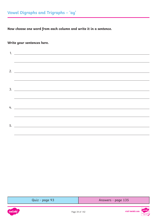<span id="page-33-0"></span>**Now choose one word from each column and write it in a sentence.** 

### **Write your sentences here.**

| $2. \_$                                                                          |
|----------------------------------------------------------------------------------|
|                                                                                  |
|                                                                                  |
| ,我们也不会有什么。""我们的人,我们也不会有什么?""我们的人,我们也不会有什么?""我们的人,我们也不会有什么?""我们的人,我们也不会有什么?""我们的人 |
| 4. $\overline{\phantom{a}}$                                                      |
|                                                                                  |
|                                                                                  |
|                                                                                  |

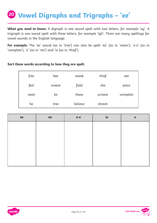# <span id="page-34-0"></span>**Vowel Digraphs and Trigraphs – 'ee' <sup>20</sup>**

**What you need to know:** A digraph is one sound spelt with two letters, for example 'ay'. A trigraph is one sound spelt with three letters, for example 'igh'. There are many spellings for vowel sounds in the English language.

**For example:** The 'ee' sound (as in 'tree') can also be spelt 'ea' (as in 'mean'), 'e-e' (as in 'complete'), 'e' (as in 'me') and 'ie (as in 'thief').

#### **Sort these words according to how they are spelt.**

| free | bee    | sneak   | thief  | eat      |
|------|--------|---------|--------|----------|
| feel | sneeze | field   | she    | piece    |
| meet | be     | these   | scream | complete |
| he   | tree   | believe | dream  |          |

| ee | ea | $e-e$ | ie | $\mathbf{e}$ |
|----|----|-------|----|--------------|
|    |    |       |    |              |
|    |    |       |    |              |
|    |    |       |    |              |
|    |    |       |    |              |
|    |    |       |    |              |
|    |    |       |    |              |

Page 35 of 142





visit twinkl.com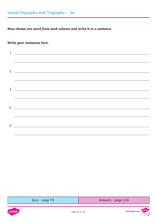<span id="page-35-0"></span>**Now choose one word from each column and write it in a sentence.** 

### **Write your sentences here.**

| $1.$ $\overline{\phantom{a}}$ |
|-------------------------------|
|                               |
|                               |
| $2. \_$                       |
|                               |
| $3.$ $\overline{\phantom{a}}$ |
|                               |
| 4. $\overline{\phantom{a}}$   |
|                               |
|                               |
|                               |



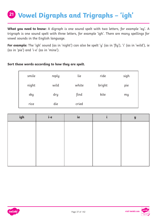# **Vowel Digraphs and Trigraphs – 'igh' <sup>21</sup>**

**What you need to know:** A digraph is one sound spelt with two letters, for example 'ay'. A trigraph is one sound spelt with three letters, for example 'igh'. There are many spellings for vowel sounds in the English language.

**For example:** The 'igh' sound (as in 'night') can also be spelt 'y' (as in 'fly'), 'i' (as in 'wild'), ie (as in 'pie') and 'i-e' (as in 'mine').

#### **Sort these words according to how they are spelt.**

| smile | reply | lie   | ride   | sigh |
|-------|-------|-------|--------|------|
| night | wild  | white | bright | pie  |
| sky   | dry   | find  | kite   | my   |
| rice  | die   | cried |        |      |

| igh | i-e | ie | $\mathbf y$ |
|-----|-----|----|-------------|
|     |     |    |             |
|     |     |    |             |
|     |     |    |             |
|     |     |    |             |
|     |     |    |             |
|     |     |    |             |



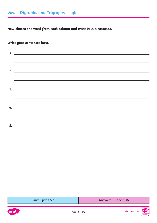### **Write your sentences here.**

| $1.$ $\overline{\phantom{a}}$ |
|-------------------------------|
|                               |
|                               |
| $2. \_$                       |
|                               |
| $3.$ $\overline{\phantom{a}}$ |
|                               |
| 4. $\overline{\phantom{a}}$   |
|                               |
|                               |
|                               |

| Answers - page 136 |
|--------------------|
|                    |



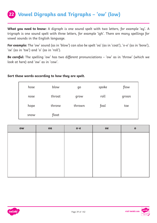### **22 Vowel Digraphs and Trigraphs – 'ow' (low)**

**What you need to know:** A digraph is one sound spelt with two letters, for example 'ay'. A trigraph is one sound spelt with three letters, for example 'igh'. There are many spellings for vowel sounds in the English language.

**For example:** The 'ow' sound (as in 'blow') can also be spelt 'oa' (as in 'coat'), 'o-e' (as in 'bone'), 'oe' (as in 'toe') and 'o' (as in 'roll').

**Be careful:** The spelling 'ow' has two different pronunciations – 'ow' as in 'throw' (which we look at here) and 'ow' as in 'cow'.

#### **Sort these words according to how they are spelt.**

| hose | blow   | go     | spoke | flow  |
|------|--------|--------|-------|-------|
| nose | throat | grow   | roll  | groan |
| hope | throne | thrown | foal  | toe   |
| snow | float  |        |       |       |

| <b>OW</b> | $\alpha$ | $O - C$ | oe | $\mathbf 0$ |
|-----------|----------|---------|----|-------------|
|           |          |         |    |             |
|           |          |         |    |             |
|           |          |         |    |             |
|           |          |         |    |             |
|           |          |         |    |             |
|           |          |         |    |             |



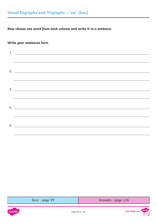### **Write your sentences here.**

| $1.$ $\overline{\phantom{a}}$ |
|-------------------------------|
|                               |
|                               |
| $2. \_$                       |
|                               |
| $3.$ $\overline{\phantom{a}}$ |
|                               |
| 4. $\overline{\phantom{a}}$   |
|                               |
|                               |
|                               |

| Answers - page 136 |
|--------------------|
|                    |

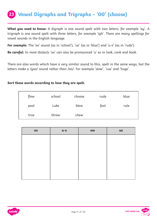### **23 Vowel Digraphs and Trigraphs – '00' (choose)**

**What you need to know:** A digraph is one sound spelt with two letters, for example 'ay'. A trigraph is one sound spelt with three letters, for example 'igh'. There are many spellings for vowel sounds in the English language.

**For example:** The 'oo' sound (as in 'school'), 'ue' (as in 'blue') and 'u-e' (as in 'rude').

**Be careful:** In most dialects 'oo' can also be pronounced 'u' as in look, cook and book.

There are also words which have a very similar sound to this, spelt in the same ways, but the letters make a /yoo/ sound rather than /oo/. For example 'stew', 'cue' and 'huge'.

#### **Sort these words according to how they are spelt.**

| flew | school | choose | rude | blue |
|------|--------|--------|------|------|
| pool | Luke   | blew   | fool | rule |
| true | threw  | chew   |      |      |

| 00 | $u-e$ | ew | ue |
|----|-------|----|----|
|    |       |    |    |
|    |       |    |    |
|    |       |    |    |
|    |       |    |    |
|    |       |    |    |
|    |       |    |    |



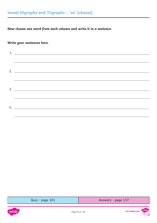### **Write your sentences here.**

| 1. $\overline{\phantom{a}}$ |
|-----------------------------|
|                             |
|                             |
|                             |
|                             |
|                             |
|                             |
|                             |
|                             |
| 4. $\overline{\phantom{a}}$ |
|                             |

| Quiz - page 101 | Answers - page 137 |
|-----------------|--------------------|
|-----------------|--------------------|



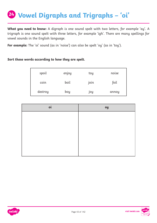# **Vowel Digraphs and Trigraphs – 'oi' <sup>24</sup>**

**What you need to know:** A digraph is one sound spelt with two letters, for example 'ay'. A trigraph is one sound spelt with three letters, for example 'igh'. There are many spellings for vowel sounds in the English language.

**For example:** The 'oi' sound (as in 'noise') can also be spelt 'oy' (as in 'toy').

#### **Sort these words according to how they are spelt.**

| spoil   | enjoy | toy  | noise |
|---------|-------|------|-------|
| coin    | boil  | join | foil  |
| destroy | boy   | joy  | annoy |

| oi | oy |
|----|----|
|    |    |
|    |    |
|    |    |
|    |    |
|    |    |
|    |    |



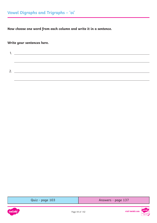**Write your sentences here.**

| ∍ |  |
|---|--|
|   |  |

[Quiz - page 103](#page-102-0) [Answers - page 137](#page-136-0)



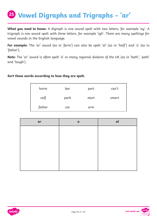# **Vowel Digraphs and Trigraphs – 'ar' <sup>25</sup>**

**What you need to know:** A digraph is one sound spelt with two letters, for example 'ay'. A trigraph is one sound spelt with three letters, for example 'igh'. There are many spellings for vowel sounds in the English language.

**For example:** The 'ar' sound (as in 'farm') can also be spelt 'al' (as in 'half') and 'a' (as in 'father').

**Note:** The 'ar' sound is often spelt 'a' in many regional dialects of the UK (as in 'bath', 'path' and 'laugh').

**Sort these words according to how they are spelt.** 

| harm   | bar  | part  | can't |
|--------|------|-------|-------|
| calf   | park | start | smart |
| father | car  | arm   |       |

| ar | $\alpha$ | al |
|----|----------|----|
|    |          |    |
|    |          |    |
|    |          |    |
|    |          |    |
|    |          |    |
|    |          |    |

Page 45 of 142





visit twinkl.com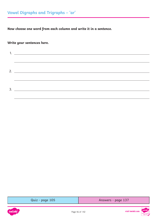### **Write your sentences here.**

| 3. |
|----|
|    |

| Quiz - page 105 |  |
|-----------------|--|
|                 |  |

[Answers - page 137](#page-136-0)



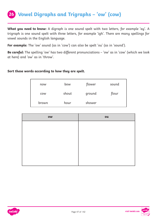### **26 Vowel Digraphs and Trigraphs – 'ow' (cow)**

**What you need to know:** A digraph is one sound spelt with two letters, for example 'ay'. A trigraph is one sound spelt with three letters, for example 'igh'. There are many spellings for vowel sounds in the English language.

**For example:** The 'ow' sound (as in 'cow') can also be spelt 'ou' (as in 'sound').

**Be careful:** The spelling 'ow' has two different pronunciations – 'ow' as in 'cow' (which we look at here) and 'ow' as in 'throw'.

#### **Sort these words according to how they are spelt.**

| now        | bow   | flower | sound |
|------------|-------|--------|-------|
| <b>COW</b> | shout | ground | flour |
| brown      | hour  | shower |       |

| <b>OW</b> | ou |
|-----------|----|
|           |    |
|           |    |
|           |    |
|           |    |
|           |    |
|           |    |



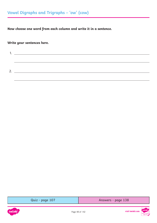**Write your sentences here.**

| ∽ |  |
|---|--|
|   |  |
|   |  |

[Quiz - page 107](#page-106-0) [Answers - page 138](#page-137-0)



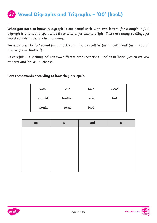### **27 Vowel Digraphs and Trigraphs – '00' (book)**

**What you need to know:** A digraph is one sound spelt with two letters, for example 'ay'. A trigraph is one sound spelt with three letters, for example 'igh'. There are many spellings for vowel sounds in the English language.

**For example:** The 'oo' sound (as in 'look') can also be spelt 'u' (as in 'put'), 'oul' (as in 'could') and 'o' (as in 'brother').

**Be careful:** The spelling 'oo' has two different pronunciations – 'oo' as in 'book' (which we look at here) and 'oo' as in 'choose'.

#### **Sort these words according to how they are spelt.**

| wool   | cut     | love | wood |
|--------|---------|------|------|
| should | brother | cook | but  |
| would  | some    | foot |      |

| $\overline{\mathbf{00}}$ | $\mathbf u$ | oul | $\mathbf{o}$ |
|--------------------------|-------------|-----|--------------|
|                          |             |     |              |
|                          |             |     |              |
|                          |             |     |              |
|                          |             |     |              |
|                          |             |     |              |
|                          |             |     |              |



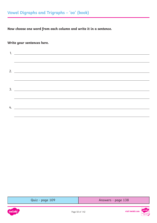### **Write your sentences here.**

| 2. $\frac{1}{2}$ $\frac{1}{2}$ $\frac{1}{2}$ $\frac{1}{2}$ $\frac{1}{2}$ $\frac{1}{2}$ $\frac{1}{2}$ $\frac{1}{2}$ $\frac{1}{2}$ $\frac{1}{2}$ $\frac{1}{2}$ $\frac{1}{2}$ $\frac{1}{2}$ $\frac{1}{2}$ $\frac{1}{2}$ $\frac{1}{2}$ $\frac{1}{2}$ $\frac{1}{2}$ $\frac{1}{2}$ $\frac{1}{2}$ $\frac{1}{2}$ $\frac{1}{2}$ |
|------------------------------------------------------------------------------------------------------------------------------------------------------------------------------------------------------------------------------------------------------------------------------------------------------------------------|
|                                                                                                                                                                                                                                                                                                                        |
|                                                                                                                                                                                                                                                                                                                        |
|                                                                                                                                                                                                                                                                                                                        |
|                                                                                                                                                                                                                                                                                                                        |
|                                                                                                                                                                                                                                                                                                                        |
|                                                                                                                                                                                                                                                                                                                        |
|                                                                                                                                                                                                                                                                                                                        |

| Quiz - page 109 | Answers - page 138 |
|-----------------|--------------------|
|-----------------|--------------------|



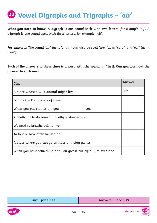# **Vowel Digraphs and Trigraphs – 'air' <sup>28</sup>**

**What you need to know:** A digraph is one sound spelt with two letters, for example 'ay'. A trigraph is one sound spelt with three letters, for example 'igh'.

**For example:** The sound 'air' (as is 'chair') can also be spelt 'are' (as in 'care') and 'ear' (as in 'tear').

**Each of the answers to these clues is a word with the sound 'air' in it. Can you work out the answer to each one?**

| Clue                                                             | Answer |
|------------------------------------------------------------------|--------|
| A place where a wild animal might live.                          | lair   |
| Winnie the Pooh is one of these.                                 |        |
| When you put clothes on, you _______________ them.               |        |
| A challenge to do something silly or dangerous.                  |        |
| We need to breathe this to live.                                 |        |
| To love or look after something.                                 |        |
| A place where you can go on rides and play games.                |        |
| When you have something and you give it out equally to everyone. |        |

[Quiz - page 111](#page-110-0) [Answers - page 138](#page-137-0)

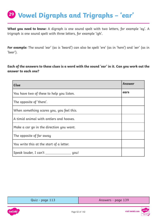# **Vowel Digraphs and Trigraphs – 'ear' <sup>29</sup>**

**What you need to know:** A digraph is one sound spelt with two letters, for example 'ay'. A trigraph is one sound spelt with three letters, for example 'igh'.

**For example:** The sound 'ear' (as is 'beard') can also be spelt 'ere' (as in 'here') and 'eer' (as in 'beer').

**Each of the answers to these clues is a word with the sound 'ear' in it. Can you work out the answer to each one?**

| <b>Clue</b>                               | Answer |
|-------------------------------------------|--------|
| You have two of these to help you listen. | ears   |
| The opposite of 'there'.                  |        |
| When something scares you, you feel this. |        |
| A timid animal with antlers and hooves.   |        |
| Make a car go in the direction you want.  |        |
| The opposite of far away                  |        |
| You write this at the start of a letter.  |        |
| Speak louder, I can't<br>you!             |        |

| Quiz - page 113 | Answers - page 139 |
|-----------------|--------------------|
|                 |                    |

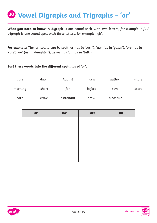# **Vowel Digraphs and Trigraphs – 'or' <sup>30</sup>**

**What you need to know:** A digraph is one sound spelt with two letters, for example 'ay'. A trigraph is one sound spelt with three letters, for example 'igh'.

**For example:** The 'or' sound can be spelt 'or' (as in 'corn'), 'aw' (as in 'yawn'), 'ore' (as in 'core') 'au' (as in 'daughter'), as well as 'al' (as in 'talk').

#### **Sort these words into the different spellings of 'or'.**

| bore    | dawn  | August    | horse  | author   | shore |
|---------|-------|-----------|--------|----------|-------|
| morning | short | tor       | before | saw      | score |
| born    | crawl | astronaut | draw   | dinosaur |       |

| or | aw | ore | au |
|----|----|-----|----|
|    |    |     |    |
|    |    |     |    |
|    |    |     |    |
|    |    |     |    |
|    |    |     |    |
|    |    |     |    |



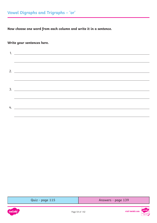### **Write your sentences here.**

| $2. \_$                     |
|-----------------------------|
|                             |
|                             |
|                             |
|                             |
| 4. $\overline{\phantom{a}}$ |

| Quiz - page 115 | Answers - page 139 |
|-----------------|--------------------|
|-----------------|--------------------|



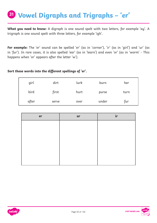# **Vowel Digraphs and Trigraphs – 'er' <sup>31</sup>**

**What you need to know:** A digraph is one sound spelt with two letters, for example 'ay'. A trigraph is one sound spelt with three letters, for example 'igh'.

**For example:** The 'er' sound can be spelled 'er' (as in 'corner'), 'ir' (as in 'girl') and 'ur' (as in 'fur'). In rare cases, it is also spelled 'ear' (as in 'learn') and even 'or' (as in 'worm' - This happens when 'or' appears after the letter 'w').

#### **Sort these words into the different spellings of 'er'.**

| girl  | dirt  | lurk | burn  | her  |
|-------|-------|------|-------|------|
| bird  | first | hurt | purse | turn |
| after | serve | over | under | fur  |

| er | ur | ir |
|----|----|----|
|    |    |    |
|    |    |    |
|    |    |    |
|    |    |    |
|    |    |    |
|    |    |    |



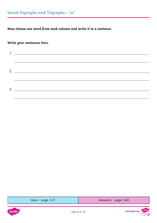### **Write your sentences here.**

| Quiz - page 117 | Answers - page 140 |
|-----------------|--------------------|
|-----------------|--------------------|



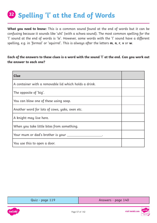# **Spelling 'l' at the End of Words <sup>32</sup>**

**What you need to know:** This is a common sound found at the end of words but it can be confusing because it sounds like 'uhl' (with a schwa sound). The most common spelling for the 'l' sound at the end of words is 'le'. However, some words with the 'l' sound have a different spelling, e.g. in 'formal' or 'squirrel'. This is always after the letters **m**, **n**, **r**, **v** or **w**.

### **Each of the answers to these clues is a word with the sound 'l' at the end. Can you work out the answer to each one?**

| Clue                                                   |  |
|--------------------------------------------------------|--|
| A container with a removable lid which holds a drink.  |  |
| The opposite of 'big'.                                 |  |
| You can blow one of these using soap.                  |  |
| Another word for lots of cows, yaks, oxen etc.         |  |
| A knight may live here.                                |  |
| When you take little bites from something.             |  |
| Your mum or dad's brother is your ___________________. |  |
| You use this to open a door.                           |  |

| Quiz - page 119 | Answers - page 140 |
|-----------------|--------------------|
|-----------------|--------------------|

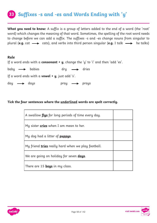### **33 Suffixes -s and -es and Words Ending with 'y'**

**What you need to know:** A suffix is a group of letters added to the end of a word (the 'root' word) which changes the meaning of that word. Sometimes, the spelling of the root word needs to change before we can add a suffix. The suffixes -s and -es change nouns from singular to plural (e.g. cat  $\longrightarrow$  cats), and verbs into third person singular (e.g. I talk  $\longrightarrow$  he talks)

#### **Rule**

|                               |                                                        |                              | If a word ends with a <b>consonant + y</b> , change the 'y' to 'i' and then 'add 'es'. |
|-------------------------------|--------------------------------------------------------|------------------------------|----------------------------------------------------------------------------------------|
| baby $\longrightarrow$ babies |                                                        | dry $\longrightarrow$ dries  |                                                                                        |
|                               | If a word ends with a <b>vowel + y</b> , just add 's'. |                              |                                                                                        |
| $day \longrightarrow day$     |                                                        | $pray \longrightarrow prays$ |                                                                                        |

#### **Tick the four sentences where the underlined words are spelt correctly.**

| A swallow flys for long periods of time every day.        |  |
|-----------------------------------------------------------|--|
| My sister <b>cries</b> when I am mean to her.             |  |
| My dog had a litter of <b>puppys</b> .                    |  |
| My friend <b>tries</b> really hard when we play football. |  |
| We are going on holiday for seven days.                   |  |
| There are 15 <b>boys</b> in my class.                     |  |



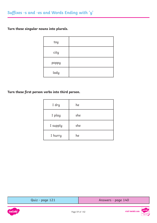**Turn these singular nouns into plurals.**

| toy   |  |
|-------|--|
| city  |  |
| poppy |  |
| lady  |  |

### **Turn these first person verbs into third person.**

| I dry    | he  |
|----------|-----|
| I play   | she |
| I supply | she |
| I hurry  | he  |

| Quiz - page 121 | Answers - page 140 |
|-----------------|--------------------|
|-----------------|--------------------|



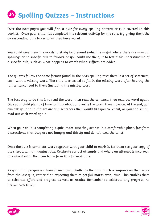# **S4** Spelling Quizzes – Instructions

Over the next pages you will find a quiz for every spelling pattern or rule covered in this booklet. Once your child has completed the relevant activity for the rule, try giving them the corresponding quiz to see what they have learnt.

You could give them the words to study beforehand (which is useful where there are unusual spellings or no specific rule to follow), or you could use the quiz to test their understanding of a specific rule, such as what happens to words when suffixes are added.

The quizzes follow the same format found in the SATs spelling test; there is a set of sentences, each with a missing word. The child is expected to fill in the missing word after hearing the full sentence read to them (including the missing word).

The best way to do this is to read the word, then read the sentence, then read the word again. Give your child plenty of time to think about and write the word, then move on. At the end, you can ask your child if there are any sentences they would like you to repeat, or you can simply read out each word again.

When your child is completing a quiz, make sure they are sat in a comfortable place, free from distractions, that they are not hungry and thirsty and do not need the toilet!

Once the quiz is complete, work together with your child to mark it. Let them see your copy of the sheet and mark against this. Celebrate correct attempts and where an attempt is incorrect, talk about what they can learn from this for next time.

As your child progresses through each quiz, challenge them to match or improve on their score from the last quiz, rather than expecting them to get full marks every time. This enables them to celebrate effort and progress as well as results. Remember to celebrate any progress, no matter how small.



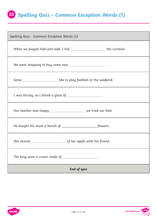### **Spelling Quiz – Common Exception Words (1) 35**

| Spelling Quiz - Common Exception Words (1)                                 |  |  |
|----------------------------------------------------------------------------|--|--|
| When we played hide and seek, I hid _________________________the curtains. |  |  |
| We went shopping to buy some new ________________________.                 |  |  |
| Some _________________________ like to play football at the weekend.       |  |  |
| I was thirsty, so I drank a glass of ________________________.             |  |  |
| Our teacher was happy ______________________ we tried our best.            |  |  |
|                                                                            |  |  |
|                                                                            |  |  |
| The king wore a crown made of _________________________.                   |  |  |
| <b>End of quiz</b>                                                         |  |  |

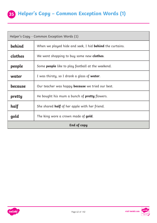### **35 Helper's Copy – Common Exception Words (1)**

| Helper's Copy - Common Exception Words (1) |                                                                 |
|--------------------------------------------|-----------------------------------------------------------------|
| behind                                     | When we played hide and seek, I hid <b>behind</b> the curtains. |
| clothes                                    | We went shopping to buy some new <b>clothes</b> .               |
| people                                     | Some <b>people</b> like to play football at the weekend.        |
| water                                      | I was thirsty, so I drank a glass of <b>water</b> .             |
| because                                    | Our teacher was happy <b>because</b> we tried our best.         |
| pretty                                     | He bought his mum a bunch of <b>pretty</b> flowers.             |
| half                                       | She shared <b>half</b> of her apple with her friend.            |
| gold                                       | The king wore a crown made of <b>gold</b> .                     |
| End of copy                                |                                                                 |

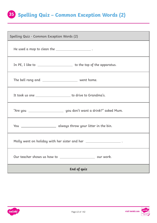## **Spelling Quiz – Common Exception Words (2) 35**

| Spelling Quiz - Common Exception Words (2)                                   |  |
|------------------------------------------------------------------------------|--|
| He used a mop to clean the ________________________.                         |  |
| In PE, I like to ______________________________ to the top of the apparatus. |  |
| The bell rang and ________________________ went home.                        |  |
| It took us one _________________________ to drive to Grandma's.              |  |
|                                                                              |  |
| You ___________________________ always throw your litter in the bin.         |  |
| Molly went on holiday with her sister and her ________________________.      |  |
|                                                                              |  |
| <b>End of quiz</b>                                                           |  |

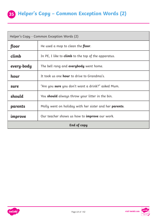

| Helper's Copy - Common Exception Words (2)                      |                                                            |  |
|-----------------------------------------------------------------|------------------------------------------------------------|--|
| floor                                                           | He used a mop to clean the floor.                          |  |
| climb                                                           | In PE, I like to <b>climb</b> to the top of the apparatus. |  |
| every-body                                                      | The bell rang and <b>everybody</b> went home.              |  |
| hour                                                            | It took us one <b>hour</b> to drive to Grandma's.          |  |
| sure                                                            | "Are you <b>sure</b> you don't want a drink?" asked Mum.   |  |
| should                                                          | You <b>should</b> always throw your litter in the bin.     |  |
| parents                                                         | Molly went on holiday with her sister and her parents.     |  |
| Our teacher shows us how to <b>improve</b> our work.<br>improve |                                                            |  |
| <b>End of copy</b>                                              |                                                            |  |



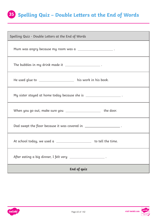### **Spelling Quiz – Double Letters at the End of Words 35**

| Spelling Quiz - Double Letters at the End of Words                       |  |
|--------------------------------------------------------------------------|--|
| Mum was angry because my room was a _________________________.           |  |
| The bubbles in my drink made it _______________________.                 |  |
| He used glue to ______________________ his work in his book.             |  |
| My sister stayed at home today because she is _________________________. |  |
| When you go out, make sure you __________________________ the door.      |  |
| Dad swept the floor because it was covered in ________________________.  |  |
| At school today, we used a _________________________ to tell the time.   |  |
| After eating a big dinner, I felt very _____________________.            |  |
| <b>End of quiz</b>                                                       |  |



visit twinkl.com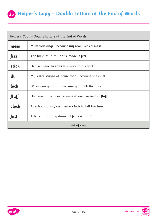### **35 Helper's Copy – Double Letters at the End of Words**

| Helper's Copy - Double Letters at the End of Words |                                                              |  |
|----------------------------------------------------|--------------------------------------------------------------|--|
| mess                                               | Mum was angry because my room was a <b>mess</b> .            |  |
| fizz                                               | The bubbles in my drink made it <b>fizz</b> .                |  |
| stick                                              | He used glue to <b>stick</b> his work in his book.           |  |
| ill                                                | My sister stayed at home today because she is <b>ill</b> .   |  |
| lock                                               | When you go out, make sure you <b>lock</b> the door.         |  |
| fluff                                              | Dad swept the floor because it was covered in <b>fluff</b> . |  |
| clock                                              | At school today, we used a <b>clock</b> to tell the time.    |  |
| full                                               | After eating a big dinner, I felt very full.                 |  |
| <b>End of copy</b>                                 |                                                              |  |



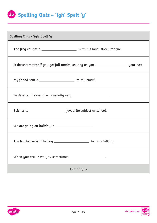## **Spelling Quiz – 'igh' Spelt 'y' 35**

| Spelling Quiz - 'igh' Spelt 'y'                                                              |  |  |
|----------------------------------------------------------------------------------------------|--|--|
| The frog caught a _________________________ with his long, sticky tongue.                    |  |  |
| It doesn't matter if you get full marks, as long as you _________________________ your best. |  |  |
| My friend sent a ______________________ to my email.                                         |  |  |
| In deserts, the weather is usually very _________________________.                           |  |  |
|                                                                                              |  |  |
|                                                                                              |  |  |
| The teacher asked the boy ____________________ he was talking.                               |  |  |
| When you are upset, you sometimes _______________________.                                   |  |  |
| End of quiz                                                                                  |  |  |



visit twinkl.com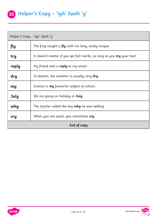| Helper's Copy - 'igh' Spelt 'y' |                                                                               |  |
|---------------------------------|-------------------------------------------------------------------------------|--|
| fly                             | The frog caught a <b>fly</b> with his long, sticky tongue.                    |  |
| try                             | It doesn't matter if you get full marks, as long as you <b>try</b> your best. |  |
| reply                           | My friend sent a <b>reply</b> to my email.                                    |  |
| dry                             | In deserts, the weather is usually very dry.                                  |  |
| my                              | Science is <b>my</b> favourite subject at school.                             |  |
| <b>July</b>                     | We are going on holiday in July.                                              |  |
| why                             | The teacher asked the boy <b>why</b> he was talking.                          |  |
| cry                             | When you are upset, you sometimes cry.                                        |  |
| End of copy                     |                                                                               |  |

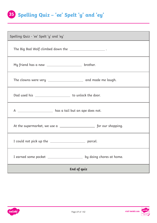### **Spelling Quiz – 'ee' Spelt 'y' and 'ey' 35**

| Spelling Quiz - 'ee' Spelt 'y' and 'ey'                             |  |  |
|---------------------------------------------------------------------|--|--|
| The Big Bad Wolf climbed down the ________________________.         |  |  |
|                                                                     |  |  |
|                                                                     |  |  |
|                                                                     |  |  |
| A ______________________ has a tail but an ape does not.            |  |  |
|                                                                     |  |  |
|                                                                     |  |  |
| I earned some pocket __________________<br>by doing chores at home. |  |  |
| End of quiz                                                         |  |  |

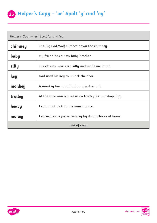## **35 Helper's Copy – 'ee' Spelt 'y' and 'ey'**

| Helper's Copy - 'ee' Spelt 'y' and 'ey' |                                                            |  |
|-----------------------------------------|------------------------------------------------------------|--|
| chimney                                 | The Big Bad Wolf climbed down the <b>chimney</b> .         |  |
| baby                                    | My friend has a new <b>baby</b> brother.                   |  |
| silly                                   | The clowns were very <b>silly</b> and made me laugh.       |  |
| key                                     | Dad used his <b>key</b> to unlock the door.                |  |
| monkey                                  | A <b>monkey</b> has a tail but an ape does not.            |  |
| trolley                                 | At the supermarket, we use a trolley for our shopping.     |  |
| heavy                                   | I could not pick up the <b>heavy</b> parcel.               |  |
| money                                   | I earned some pocket <b>money</b> by doing chores at home. |  |
| End of copy                             |                                                            |  |



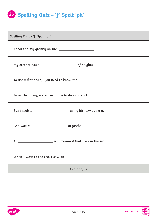## **Spelling Quiz – 'f' Spelt 'ph' 35**

| Spelling Quiz - 'f' Spelt 'ph'                                         |  |
|------------------------------------------------------------------------|--|
| I spoke to my granny on the $\_\_$                                     |  |
| My brother has a $\_\_$                                                |  |
| To use a dictionary, you need to know the _______________________ .    |  |
| In maths today, we learned how to draw a block ______________________. |  |
| Sami took a _______________________________ using his new camera.      |  |
| Cho won a _________________________ in football.                       |  |
|                                                                        |  |
| When I went to the zoo, I saw an $\sqrt{2}$ .                          |  |
| End of quiz                                                            |  |

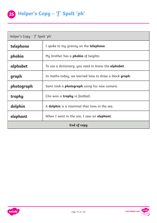| Helper's Copy - 'f' Spelt 'ph' |                                                             |  |
|--------------------------------|-------------------------------------------------------------|--|
| telephone                      | I spoke to my granny on the <b>telephone</b> .              |  |
| phobia                         | My brother has a <b>phobia</b> of heights.                  |  |
| alphabet                       | To use a dictionary, you need to know the <b>alphabet</b> . |  |
| graph                          | In maths today, we learned how to draw a block graph.       |  |
| photograph                     | Sami took a <b>photograph</b> using his new camera.         |  |
| trophy                         | Cho won a <b>trophy</b> in football.                        |  |
| dolphin                        | A <b>dolphin</b> is a mammal that lives in the sea.         |  |
| elephant                       | When I went to the zoo, I saw an <b>elephant</b> .          |  |
| <b>End of copy</b>             |                                                             |  |

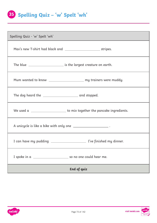## **Spelling Quiz – 'w' Spelt 'wh' 35**

| Spelling Quiz - 'w' Spelt 'wh'                                      |                                                                            |
|---------------------------------------------------------------------|----------------------------------------------------------------------------|
|                                                                     |                                                                            |
|                                                                     |                                                                            |
|                                                                     | Mum wanted to know ______________________ my trainers were muddy.          |
|                                                                     |                                                                            |
|                                                                     | We used a _______________________ to mix together the pancake ingredients. |
| A unicycle is like a bike with only one __________________________. |                                                                            |
|                                                                     |                                                                            |
|                                                                     |                                                                            |
| End of quiz                                                         |                                                                            |

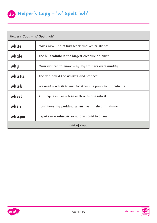| Helper's Copy - 'w' Spelt 'wh' |                                                                 |
|--------------------------------|-----------------------------------------------------------------|
| white                          | Max's new T-shirt had black and white stripes.                  |
| whale                          | The blue whale is the largest creature on earth.                |
| why                            | Mum wanted to know <b>why</b> my trainers were muddy.           |
| whistle                        | The dog heard the <b>whistle</b> and stopped.                   |
| whisk                          | We used a <b>whisk</b> to mix together the pancake ingredients. |
| wheel                          | A unicycle is like a bike with only one wheel.                  |
| when                           | I can have my pudding <b>when</b> I've finished my dinner.      |
| whisper                        | I spoke in a <b>whisper</b> so no one could hear me.            |
| <b>End of copy</b>             |                                                                 |

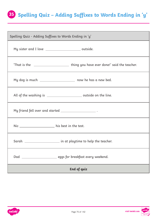# **Spelling Quiz – Adding Suffixes to Words Ending in 'y' 35**

| Spelling Quiz - Adding Suffixes to Words Ending in 'y'                                                                                           |  |
|--------------------------------------------------------------------------------------------------------------------------------------------------|--|
| My sister and I love ___________________________ outside.                                                                                        |  |
| 'That is the ___________________________thing you have ever done!' said the teacher.                                                             |  |
| My dog is much _____________________ now he has a new bed.                                                                                       |  |
| All of the washing is ___________________________ outside on the line.                                                                           |  |
| My friend fell over and started ___________________________.<br>,我们也不会有什么。""我们的人,我们也不会有什么?""我们的人,我们也不会有什么?""我们的人,我们也不会有什么?""我们的人,我们也不会有什么?""我们的人 |  |
| Nic _____________________ his best in the test.                                                                                                  |  |
| Sarah ___________________________ in at playtime to help the teacher.                                                                            |  |
| Dad<br>eggs for breakfast every weekend.                                                                                                         |  |
| End of quiz                                                                                                                                      |  |

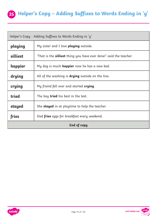### **35 Helper's Copy – Adding Suffixes to Words Ending in 'y'**

| Helper's Copy - Adding Suffixes to Words Ending in 'y' |                                                                    |
|--------------------------------------------------------|--------------------------------------------------------------------|
| playing                                                | My sister and I love <b>playing</b> outside.                       |
| silliest                                               | 'That is the silliest thing you have ever done!' said the teacher. |
| happier                                                | My dog is much <b>happier</b> now he has a new bed.                |
| drying                                                 | All of the washing is <b>drying</b> outside on the line.           |
| crying                                                 | My friend fell over and started <b>crying</b> .                    |
| tried                                                  | The boy <b>tried</b> his best in the test.                         |
| stayed                                                 | She <b>stayed</b> in at playtime to help the teacher.              |
| fries                                                  | Dad <b>fries</b> eggs for breakfast every weekend.                 |
| <b>End of copy</b>                                     |                                                                    |



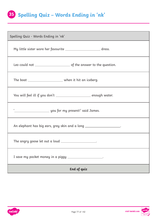#### **Spelling Quiz – Words Ending in 'nk' 35**

| Spelling Quiz - Words Ending in 'nk'                                  |  |
|-----------------------------------------------------------------------|--|
| My little sister wore her favourite _________________________ dress.  |  |
|                                                                       |  |
| The boat _________________________ when it hit an iceberg.            |  |
| You will feel ill if you don't ________________________ enough water. |  |
|                                                                       |  |
| An elephant has big ears, grey skin and a long ____________________.  |  |
| The angry goose let out a loud ____________________.                  |  |
| I save my pocket money in a piggy _____________________.              |  |
| End of quiz                                                           |  |

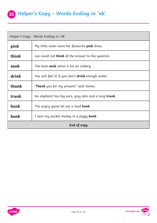| Helper's Copy - Words Ending in 'nk' |                                                               |
|--------------------------------------|---------------------------------------------------------------|
| pink                                 | My little sister wore her favourite <b>pink</b> dress.        |
| think                                | Leo could not <b>think</b> of the answer to the question.     |
| sank                                 | The boat <b>sank</b> when it hit an iceberg.                  |
| drink                                | You will feel ill if you don't <b>drink</b> enough water.     |
| thank                                | <b>Thank</b> you for my present!' said James.                 |
| trunk                                | An elephant has big ears, grey skin and a long <b>trunk</b> . |
| honk                                 | The angry goose let out a loud <b>honk</b> .                  |
| bank                                 | I save my pocket money in a piggy bank.                       |
| End of copy                          |                                                               |



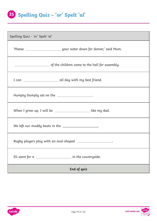# **Spelling Quiz – 'or' Spelt 'al' 35**

| Spelling Quiz - 'or' Spelt 'al'                                   |  |
|-------------------------------------------------------------------|--|
|                                                                   |  |
|                                                                   |  |
| I can ________________________ all day with my best friend.       |  |
| Humpty Dumpty sat on the __________________.                      |  |
| When I grow up, I will be __________________________ like my dad. |  |
| We left our muddy boots in the __________________.                |  |
| Rugby players play with an oval-shaped ____________________.      |  |
| Eli went for a<br>in the countryside.                             |  |
| End of quiz                                                       |  |

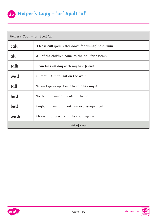| Helper's Copy - 'or' Spelt 'al' |                                                             |
|---------------------------------|-------------------------------------------------------------|
| call                            | 'Please <b>call</b> your sister down for dinner,' said Mum. |
| all                             | All of the children came to the hall for assembly.          |
| talk                            | I can talk all day with my best friend.                     |
| wall                            | Humpty Dumpty sat on the <b>wall</b> .                      |
| tall                            | When I grow up, I will be <b>tall</b> like my dad.          |
| hall                            | We left our muddy boots in the hall.                        |
| ball                            | Rugby players play with an oval-shaped <b>ball</b> .        |
| walk                            | Eli went for a <b>walk</b> in the countryside.              |
| End of copy                     |                                                             |



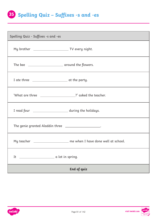

| Spelling Quiz - Suffixes -s and -es                                 |  |
|---------------------------------------------------------------------|--|
|                                                                     |  |
|                                                                     |  |
|                                                                     |  |
| 'What are three ______________________?' asked the teacher.         |  |
| I read four _____________________________ during the holidays.      |  |
| The genie granted Aladdin three ____________________.               |  |
| My teacher ____________________ me when I have done well at school. |  |
| a lot in spring.<br>It                                              |  |
| <b>End of quiz</b>                                                  |  |

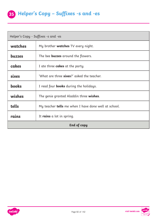

| Helper's Copy - Suffixes -s and -es |                                                             |
|-------------------------------------|-------------------------------------------------------------|
| watches                             | My brother <b>watches</b> TV every night.                   |
| <b>buzzes</b>                       | The bee <b>buzzes</b> around the flowers.                   |
| cakes                               | I ate three <b>cakes</b> at the party.                      |
| <b>sixes</b>                        | 'What are three sixes?' asked the teacher.                  |
| <b>books</b>                        | I read four <b>books</b> during the holidays.               |
| wishes                              | The genie granted Aladdin three wishes.                     |
| tells                               | My teacher <b>tells</b> me when I have done well at school. |
| rains                               | It rains a lot in spring.                                   |
| <b>End of copy</b>                  |                                                             |



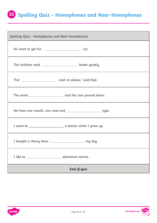# **Spelling Quiz – Homophones and Near-Homophones 35**

| Spelling Quiz - Homophones and Near-Homophones                   |  |
|------------------------------------------------------------------|--|
|                                                                  |  |
| The children read ________________________ books quietly.        |  |
|                                                                  |  |
|                                                                  |  |
| We have one mouth, one nose and __________________________ eyes. |  |
|                                                                  |  |
| I bought a chewy bone _______________________ my dog.            |  |
|                                                                  |  |
| <b>End of quiz</b>                                               |  |

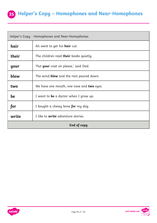#### **35 Helper's Copy – Homophones and Near-Homophones**

| Helper's Copy - Homophones and Near-Homophones |                                                |
|------------------------------------------------|------------------------------------------------|
| hair                                           | Ali went to get his <b>hair</b> cut.           |
| their                                          | The children read <b>their</b> books quietly.  |
| your                                           | 'Put <b>your</b> coat on please,' said Dad.    |
| blew                                           | The wind <b>blew</b> and the rain poured down. |
| two                                            | We have one mouth, one nose and two eyes.      |
| be                                             | I want to <b>be</b> a doctor when I grow up.   |
| for                                            | I bought a chewy bone for my dog.              |
| write                                          | I like to <b>write</b> adventure stories.      |
| End of copy                                    |                                                |



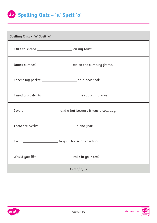**Spelling Quiz – 'u' Spelt 'o' 35**

| Spelling Quiz - 'u' Spelt 'o'                                 |                                                                 |
|---------------------------------------------------------------|-----------------------------------------------------------------|
| I like to spread _______________________________ on my toast. |                                                                 |
|                                                               | James climbed ____________________ me on the climbing frame.    |
|                                                               | I spent my pocket __________________________ on a new book.     |
|                                                               | I used a plaster to _______________________ the cut on my knee. |
|                                                               |                                                                 |
| There are twelve ________________________ in one year.        |                                                                 |
|                                                               | I will ______________________ to your house after school.       |
| Would you like _____________________                          | milk in your tea?                                               |
| End of quiz                                                   |                                                                 |

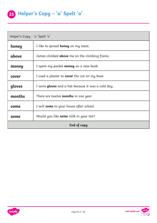| Helper's Copy - 'u' Spelt 'o' |                                                      |
|-------------------------------|------------------------------------------------------|
| honey                         | I like to spread <b>honey</b> on my toast.           |
| above                         | James climbed <b>above</b> me on the climbing frame. |
| money                         | I spent my pocket <b>money</b> on a new book.        |
| cover                         | I used a plaster to <b>cover</b> the cut on my knee. |
| gloves                        | I wore gloves and a hat because it was a cold day.   |
| months                        | There are twelve <b>months</b> in one year.          |
| come                          | I will <b>come</b> to your house after school.       |
| some                          | Would you like <b>some</b> milk in your tea?         |
| <b>End of copy</b>            |                                                      |

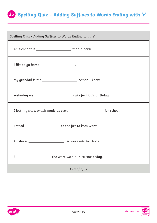### **Spelling Quiz – Adding Suffixes to Words Ending with 'e' 35**

| Spelling Quiz - Adding Suffixes to Words Ending with 'e'     |  |
|--------------------------------------------------------------|--|
| An elephant is __________________________than a horse.       |  |
| I like to go horse ____________________.                     |  |
| My grandad is the _____________________ person I know.       |  |
|                                                              |  |
|                                                              |  |
| I stood ________________________ to the fire to keep warm.   |  |
| Anisha is _____________________ her work into her book.      |  |
| _____________________ the work we did in science today.<br>I |  |
| End of quiz                                                  |  |

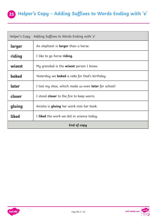

| Helper's Copy - Adding Suffixes to Words Ending with 'e' |                                                             |
|----------------------------------------------------------|-------------------------------------------------------------|
| larger                                                   | An elephant is <b>larger</b> than a horse.                  |
| riding                                                   | I like to go horse <b>riding</b> .                          |
| wisest                                                   | My grandad is the <b>wisest</b> person I know.              |
| baked                                                    | Yesterday we <b>baked</b> a cake for Dad's birthday.        |
| later                                                    | I lost my shoe, which made us even <b>later</b> for school! |
| closer                                                   | I stood <b>closer</b> to the fire to keep warm.             |
| gluing                                                   | Anisha is <b>gluing</b> her work into her book.             |
| <b>liked</b>                                             | I liked the work we did in science today.                   |
| End of copy                                              |                                                             |



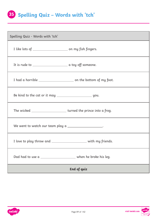## **Spelling Quiz – Words with 'tch' 35**

| Spelling Quiz - Words with 'tch'                                     |  |
|----------------------------------------------------------------------|--|
|                                                                      |  |
|                                                                      |  |
| I had a horrible _________________________ on the bottom of my foot. |  |
|                                                                      |  |
| The wicked ___________________________turned the prince into a frog. |  |
| We went to watch our team play a __________________.                 |  |
| I love to play throw and ______________________ with my friends.     |  |
| Dad had to use a ____________________________ when he broke his leg. |  |
| End of quiz                                                          |  |

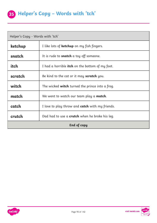| Helper's Copy - Words with 'tch' |                                                        |
|----------------------------------|--------------------------------------------------------|
| ketchup                          | I like lots of <b>ketchup</b> on my fish fingers.      |
| snatch                           | It is rude to <b>snatch</b> a toy off someone.         |
| <b>itch</b>                      | I had a horrible <b>itch</b> on the bottom of my foot. |
| scratch                          | Be kind to the cat or it may <b>scratch</b> you.       |
| witch                            | The wicked <b>witch</b> turned the prince into a frog. |
| match                            | We went to watch our team play a <b>match</b> .        |
| catch                            | I love to play throw and <b>catch</b> with my friends. |
| crutch                           | Dad had to use a <b>crutch</b> when he broke his leg.  |
| <b>End of copy</b>               |                                                        |

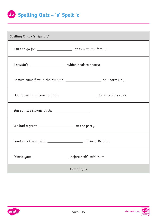**Spelling Quiz – 's' Spelt 'c' 35**

| Spelling Quiz - 's' Spelt 'c'                                        |                        |
|----------------------------------------------------------------------|------------------------|
| I like to go for _____________________________ rides with my family. |                        |
|                                                                      |                        |
|                                                                      |                        |
|                                                                      |                        |
| You can see clowns at the __________________________.                |                        |
|                                                                      |                        |
|                                                                      |                        |
| "Wash your _____________________                                     | before bed!" said Mum. |
| End of quiz                                                          |                        |

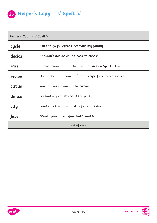| Helper's Copy - 's' Spelt 'c' |                                                                  |
|-------------------------------|------------------------------------------------------------------|
| cycle                         | I like to go for <b>cycle</b> rides with my family.              |
| decide                        | I couldn't <b>decide</b> which book to choose.                   |
| race                          | Samira came first in the running <b>race</b> on Sports Day.      |
| recipe                        | Dad looked in a book to find a <b>recipe</b> for chocolate cake. |
| circus                        | You can see clowns at the <b>circus</b> .                        |
| dance                         | We had a great <b>dance</b> at the party.                        |
| city                          | London is the capital <b>city</b> of Great Britain.              |
| face                          | "Wash your <b>face</b> before bed!" said Mum.                    |
| <b>End of copy</b>            |                                                                  |



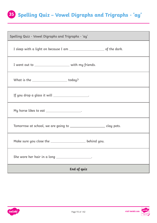### **Spelling Quiz – Vowel Digraphs and Trigraphs - 'ay' 35**

| Spelling Quiz - Vowel Digraphs and Trigraphs - 'ay'                   |  |
|-----------------------------------------------------------------------|--|
|                                                                       |  |
| I went out to _______________________ with my friends.                |  |
| What is the ________________________ today?                           |  |
| If you drop a glass it will ___________________.                      |  |
| My horse likes to eat ___________________.                            |  |
| Tomorrow at school, we are going to ______________________ clay pots. |  |
| Make sure you close the ______________________ behind you.            |  |
| She wore her hair in a long ___________________.                      |  |
| End of quiz                                                           |  |

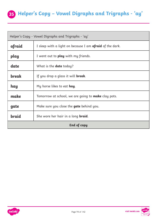#### **35 Helper's Copy – Vowel Digraphs and Trigraphs - 'ay'**

| Helper's Copy - Vowel Digraphs and Trigraphs - 'ay' |                                                                 |
|-----------------------------------------------------|-----------------------------------------------------------------|
| afraid                                              | I sleep with a light on because I am <b>afraid</b> of the dark. |
| play                                                | I went out to <b>play</b> with my friends.                      |
| date                                                | What is the <b>date</b> today?                                  |
| <b>break</b>                                        | If you drop a glass it will <b>break</b> .                      |
| hay                                                 | My horse likes to eat <b>hay</b> .                              |
| make                                                | Tomorrow at school, we are going to <b>make</b> clay pots.      |
| gate                                                | Make sure you close the gate behind you.                        |
| braid                                               | She wore her hair in a long <b>braid</b> .                      |
| End of copy                                         |                                                                 |

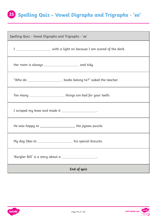# **Spelling Quiz – Vowel Digraphs and Trigraphs - 'ee' 35**

| Spelling Quiz - Vowel Digraphs and Trigraphs - 'ee'                        |  |
|----------------------------------------------------------------------------|--|
| I _______________________ with a light on because I am scared of the dark. |  |
|                                                                            |  |
| "Who do _________________________ books belong to?" asked the teacher.     |  |
| Too many ____________________________things are bad for your teeth.        |  |
| I scraped my knee and made it __________________.                          |  |
| He was happy to _______________________the jigsaw puzzle.                  |  |
| My dog likes to __________________ his special biscuits.                   |  |
| 'Burglar Bill' is a story about a ____________________.                    |  |
| End of quiz                                                                |  |

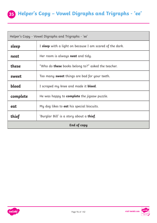### **35 Helper's Copy – Vowel Digraphs and Trigraphs - 'ee'**

| Helper's Copy - Vowel Digraphs and Trigraphs - 'ee' |                                                           |
|-----------------------------------------------------|-----------------------------------------------------------|
| sleep                                               | I sleep with a light on because I am scared of the dark.  |
| neat                                                | Her room is always <b>neat</b> and tidy.                  |
| these                                               | "Who do <b>these</b> books belong to?" asked the teacher. |
| sweet                                               | Too many <b>sweet</b> things are bad for your teeth.      |
| <b>bleed</b>                                        | I scraped my knee and made it <b>bleed</b> .              |
| complete                                            | He was happy to <b>complete</b> the jigsaw puzzle.        |
| eat                                                 | My dog likes to <b>eat</b> his special biscuits.          |
| thief                                               | 'Burglar Bill' is a story about a <b>thief</b> .          |
| <b>End of copy</b>                                  |                                                           |



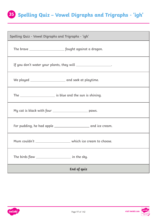# **Spelling Quiz – Vowel Digraphs and Trigraphs - 'igh' 35**

| Spelling Quiz - Vowel Digraphs and Trigraphs - 'igh'             |  |
|------------------------------------------------------------------|--|
|                                                                  |  |
| If you don't water your plants, they will _____________________. |  |
|                                                                  |  |
|                                                                  |  |
| My cat is black with four _____________________________ paws.    |  |
|                                                                  |  |
| Mum couldn't ________________________ which ice cream to choose. |  |
|                                                                  |  |
| End of quiz                                                      |  |

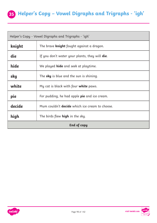#### **35 Helper's Copy – Vowel Digraphs and Trigraphs - 'igh'**

| Helper's Copy - Vowel Digraphs and Trigraphs - 'igh' |                                                        |
|------------------------------------------------------|--------------------------------------------------------|
| knight                                               | The brave <b>knight</b> fought against a dragon.       |
| die                                                  | If you don't water your plants, they will <b>die</b> . |
| hide                                                 | We played <b>hide</b> and seek at playtime.            |
| sky                                                  | The <b>sky</b> is blue and the sun is shining.         |
| white                                                | My cat is black with four <b>white</b> paws.           |
| pie                                                  | For pudding, he had apple <b>pie</b> and ice cream.    |
| decide                                               | Mum couldn't decide which ice cream to choose.         |
| high                                                 | The birds flew <b>high</b> in the sky.                 |
| End of copy                                          |                                                        |



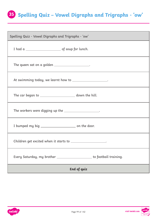# **Spelling Quiz – Vowel Digraphs and Trigraphs - 'ow' 35**

| Spelling Quiz - Vowel Digraphs and Trigraphs - 'ow'                      |  |
|--------------------------------------------------------------------------|--|
|                                                                          |  |
| The queen sat on a golden ___________________.                           |  |
| At swimming today, we learnt how to ____________________.                |  |
| The car began to ________________________ down the hill.                 |  |
| The workers were digging up the ___________________.                     |  |
|                                                                          |  |
| Children get excited when it starts to ____________________.             |  |
| Every Saturday, my brother _______________________ to football training. |  |
| End of quiz                                                              |  |

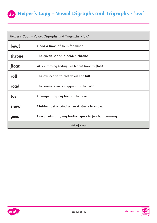#### **35 Helper's Copy – Vowel Digraphs and Trigraphs - 'ow'**

| Helper's Copy - Vowel Digraphs and Trigraphs - 'ow' |                                                       |
|-----------------------------------------------------|-------------------------------------------------------|
| bowl                                                | I had a <b>bowl</b> of soup for lunch.                |
| throne                                              | The queen sat on a golden <b>throne</b> .             |
| float                                               | At swimming today, we learnt how to <b>float</b> .    |
| roll                                                | The car began to <b>roll</b> down the hill.           |
| road                                                | The workers were digging up the <b>road</b> .         |
| toe                                                 | I bumped my big toe on the door.                      |
| snow                                                | Children get excited when it starts to <b>snow</b> .  |
| goes                                                | Every Saturday, my brother goes to football training. |
| End of copy                                         |                                                       |



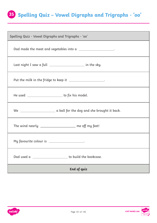#### **Spelling Quiz – Vowel Digraphs and Trigraphs - 'oo' 35**

| Spelling Quiz - Vowel Digraphs and Trigraphs - 'oo'           |  |
|---------------------------------------------------------------|--|
| Dad made the meat and vegetables into a ____________________. |  |
| Last night I saw a full ____________________ in the sky.      |  |
| Put the milk in the fridge to keep it ____________________.   |  |
| He used _________________________ to fix his model.           |  |
|                                                               |  |
| The wind nearly __________________ me off my feet!            |  |
| My favourite colour is ___________________.                   |  |
| Dad used a ___________________<br>to build the bookcase.      |  |
| End of quiz                                                   |  |

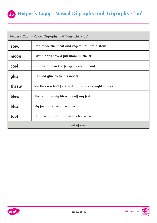#### **35 Helper's Copy – Vowel Digraphs and Trigraphs - 'oo'**

| Helper's Copy - Vowel Digraphs and Trigraphs - 'oo' |                                                             |
|-----------------------------------------------------|-------------------------------------------------------------|
| stew                                                | Dad made the meat and vegetables into a <b>stew</b> .       |
| moon                                                | Last night I saw a full <b>moon</b> in the sky.             |
| cool                                                | Put the milk in the fridge to keep it <b>cool</b> .         |
| glue                                                | He used <b>glue</b> to fix his model.                       |
| threw                                               | We <b>threw</b> a ball for the dog and she brought it back. |
| blew                                                | The wind nearly <b>blew</b> me off my feet!                 |
| blue                                                | My favourite colour is <b>blue</b> .                        |
| tool                                                | Dad used a <b>tool</b> to build the bookcase.               |
| End of copy                                         |                                                             |



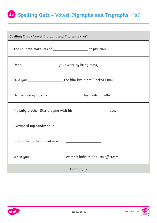### **Spelling Quiz – Vowel Digraphs and Trigraphs - 'oi' 35**

| Spelling Quiz - Vowel Digraphs and Trigraphs - 'oi'                  |  |
|----------------------------------------------------------------------|--|
| The children make lots of __________________________ at playtime.    |  |
|                                                                      |  |
| "Did you ________________________ the film last night?" asked Mum.   |  |
| He used sticky tape to _____________________ his model together.     |  |
| My baby brother likes playing with his ________________________ dog. |  |
| I wrapped my sandwich in ___________________.                        |  |
| Sam spoke to the animal in a soft ____________________.              |  |
| water it bubbles and lets off steam.                                 |  |
| End of quiz                                                          |  |

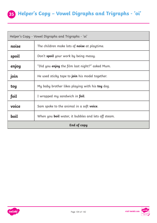#### **35 Helper's Copy – Vowel Digraphs and Trigraphs - 'oi'**

| Helper's Copy - Vowel Digraphs and Trigraphs - 'oi' |                                                            |
|-----------------------------------------------------|------------------------------------------------------------|
| noise                                               | The children make lots of <b>noise</b> at playtime.        |
| spoil                                               | Don't spoil your work by being messy.                      |
| enjoy                                               | "Did you <b>enjoy</b> the film last night?" asked Mum.     |
| join                                                | He used sticky tape to <b>join</b> his model together.     |
| toy                                                 | My baby brother likes playing with his <b>toy</b> dog.     |
| foil                                                | I wrapped my sandwich in foil.                             |
| voice                                               | Sam spoke to the animal in a soft <b>voice</b> .           |
| boil                                                | When you <b>boil</b> water, it bubbles and lets off steam. |
| <b>End of copy</b>                                  |                                                            |

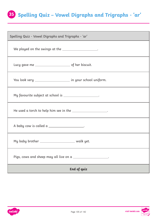### **Spelling Quiz – Vowel Digraphs and Trigraphs - 'ar' 35**

| Spelling Quiz - Vowel Digraphs and Trigraphs - 'ar'           |  |
|---------------------------------------------------------------|--|
| We played on the swings at the ___________________.           |  |
|                                                               |  |
| You look very _______________________ in your school uniform. |  |
| My favourite subject at school is ____________________.       |  |
| He used a torch to help him see in the ____________________.  |  |
| A baby cow is called a ____________________.                  |  |
| My baby brother _______________________ walk yet.             |  |
| Pigs, cows and sheep may all live on a ____________________.  |  |
| <b>End of quiz</b>                                            |  |

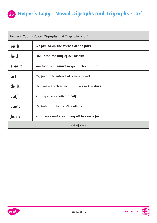#### **35 Helper's Copy – Vowel Digraphs and Trigraphs - 'ar'**

| Helper's Copy - Vowel Digraphs and Trigraphs - 'ar' |                                                      |
|-----------------------------------------------------|------------------------------------------------------|
| park                                                | We played on the swings at the park.                 |
| half                                                | Lucy gave me <b>half</b> of her biscuit.             |
| smart                                               | You look very <b>smart</b> in your school uniform.   |
| art                                                 | My favourite subject at school is art.               |
| dark                                                | He used a torch to help him see in the <b>dark</b> . |
| calf                                                | A baby cow is called a <b>calf</b> .                 |
| can't                                               | My baby brother can't walk yet.                      |
| farm                                                | Pigs, cows and sheep may all live on a <b>farm</b> . |
| End of copy                                         |                                                      |



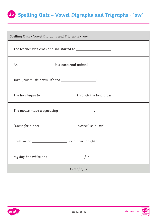### **Spelling Quiz – Vowel Digraphs and Trigraphs - 'ow' 35**

| Spelling Quiz - Vowel Digraphs and Trigraphs - 'ow'                 |  |
|---------------------------------------------------------------------|--|
| The teacher was cross and she started to ___________________.       |  |
|                                                                     |  |
| Turn your music down, it's too ______________________!              |  |
| The lion began to __________________________through the long grass. |  |
| The mouse made a squeaking ___________________.                     |  |
| "Come for dinner ______________________, please!" said Dad          |  |
|                                                                     |  |
| My dog has white and _________________<br>fur.                      |  |
| <b>End of quiz</b>                                                  |  |

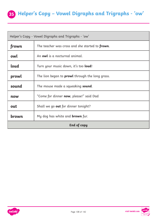#### **35 Helper's Copy – Vowel Digraphs and Trigraphs - 'ow'**

| Helper's Copy - Vowel Digraphs and Trigraphs - 'ow' |                                                         |
|-----------------------------------------------------|---------------------------------------------------------|
| frown                                               | The teacher was cross and she started to <b>frown</b> . |
| owl                                                 | An owl is a nocturnal animal.                           |
| loud                                                | Turn your music down, it's too loud!                    |
| prowl                                               | The lion began to <b>prowl</b> through the long grass.  |
| sound                                               | The mouse made a squeaking <b>sound</b> .               |
| now                                                 | "Come for dinner <b>now</b> , please!" said Dad         |
| out                                                 | Shall we go <b>out</b> for dinner tonight?              |
| brown                                               | My dog has white and <b>brown</b> fur.                  |
| End of copy                                         |                                                         |

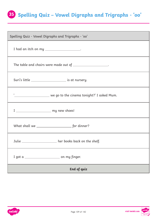## **Spelling Quiz – Vowel Digraphs and Trigraphs - 'oo' 35**

| Spelling Quiz - Vowel Digraphs and Trigraphs - 'oo'                    |  |
|------------------------------------------------------------------------|--|
| I had an itch on my ___________________.                               |  |
| The table and chairs were made out of __________________.              |  |
| Suri's little __________________________________ is at nursery.        |  |
| '__________________________ we go to the cinema tonight?' I asked Mum. |  |
| I _________________________ my new shoes!                              |  |
|                                                                        |  |
| Julie ____________________ her books back on the shelf.                |  |
| I got a _________________________________ on my finger.                |  |
| <b>End of quiz</b>                                                     |  |

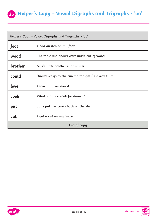## **35 Helper's Copy – Vowel Digraphs and Trigraphs - 'oo'**

| Helper's Copy - Vowel Digraphs and Trigraphs - 'oo' |                                                     |
|-----------------------------------------------------|-----------------------------------------------------|
| foot                                                | I had an itch on my <b>foot</b> .                   |
| wood                                                | The table and chairs were made out of <b>wood</b> . |
| brother                                             | Suri's little <b>brother</b> is at nursery.         |
| could                                               | 'Could we go to the cinema tonight?' I asked Mum.   |
| <b>Love</b>                                         | I love my new shoes!                                |
| cook                                                | What shall we <b>cook</b> for dinner?               |
| put                                                 | Julie <b>put</b> her books back on the shelf.       |
| cut                                                 | I got a <b>cut</b> on my finger.                    |
| End of copy                                         |                                                     |



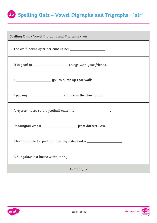# **Spelling Quiz – Vowel Digraphs and Trigraphs - 'air' 35**

| Spelling Quiz - Vowel Digraphs and Trigraphs - 'air'                |  |
|---------------------------------------------------------------------|--|
| The wolf looked after her cubs in her ____________________.         |  |
| It is good to _______________________things with your friends.      |  |
|                                                                     |  |
| I put my ________________________ change in the charity box.        |  |
| A referee makes sure a football match is ____________________.      |  |
|                                                                     |  |
| I had an apple for pudding and my sister had a ___________________. |  |
| A bungalow is a house without any ____________________.             |  |
| End of quiz                                                         |  |



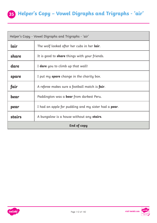## **35 Helper's Copy – Vowel Digraphs and Trigraphs - 'air'**

| Helper's Copy - Vowel Digraphs and Trigraphs - 'air' |                                                              |
|------------------------------------------------------|--------------------------------------------------------------|
| lair                                                 | The wolf looked after her cubs in her <b>lair</b> .          |
| share                                                | It is good to share things with your friends.                |
| dare                                                 | I dare you to climb up that wall!                            |
| spare                                                | I put my <b>spare</b> change in the charity box.             |
| fair                                                 | A referee makes sure a football match is fair.               |
| bear                                                 | Paddington was a <b>bear</b> from darkest Peru.              |
| pear                                                 | I had an apple for pudding and my sister had a <b>pear</b> . |
| stairs                                               | A bungalow is a house without any stairs.                    |
| End of copy                                          |                                                              |



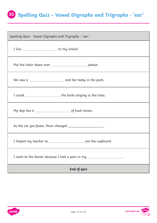# **Spelling Quiz – Vowel Digraphs and Trigraphs - 'ear' 35**

| Spelling Quiz - Vowel Digraphs and Trigraphs - 'ear'                  |  |
|-----------------------------------------------------------------------|--|
| I live __________________________ to my school.                       |  |
| Put the chair down over _____________________, please.                |  |
|                                                                       |  |
|                                                                       |  |
|                                                                       |  |
| As the car got faster, Mum changed ____________________.              |  |
| I helped my teacher to ________________________ out the cupboard.     |  |
| I went to the doctor because I had a pain in my ____________________. |  |
| End of quiz                                                           |  |

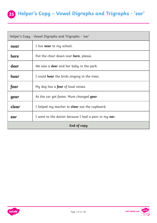## **35 Helper's Copy – Vowel Digraphs and Trigraphs - 'ear'**

| Helper's Copy - Vowel Digraphs and Trigraphs - 'ear' |                                                       |
|------------------------------------------------------|-------------------------------------------------------|
| near                                                 | I live <b>near</b> to my school.                      |
| here                                                 | Put the chair down over <b>here</b> , please.         |
| deer                                                 | We saw a <b>deer</b> and her baby in the park.        |
| hear                                                 | I could <b>hear</b> the birds singing in the trees.   |
| fear                                                 | My dog has a <b>fear</b> of loud noises.              |
| gear                                                 | As the car got faster, Mum changed gear.              |
| clear                                                | I helped my teacher to <b>clear</b> out the cupboard. |
| ear                                                  | I went to the doctor because I had a pain in my ear.  |
| <b>End of copy</b>                                   |                                                       |



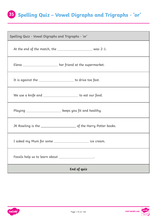## **Spelling Quiz – Vowel Digraphs and Trigraphs - 'or' 35**

| Spelling Quiz - Vowel Digraphs and Trigraphs - 'or'                |  |
|--------------------------------------------------------------------|--|
| At the end of the match, the ____________________________ was 2-1. |  |
| Elena ____________________ her friend at the supermarket.          |  |
| It is against the _______________________ to drive too fast.       |  |
| We use a knife and ______________________ to eat our food.         |  |
| Playing ____________________ keeps you fit and healthy.            |  |
|                                                                    |  |
| I asked my Mum for some __________________________ ice cream.      |  |
| Fossils help us to learn about ____________________.               |  |
| End of quiz                                                        |  |

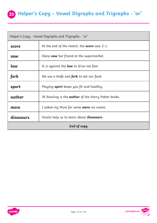## **35 Helper's Copy – Vowel Digraphs and Trigraphs - 'or'**

| Helper's Copy - Vowel Digraphs and Trigraphs - 'or' |                                                            |
|-----------------------------------------------------|------------------------------------------------------------|
| score                                               | At the end of the match, the <b>score</b> was 2-1.         |
| saw                                                 | Elena saw her friend at the supermarket.                   |
| <b>Law</b>                                          | It is against the <b>law</b> to drive too fast.            |
| fork                                                | We use a knife and <b>fork</b> to eat our food.            |
| sport                                               | Playing <b>sport</b> keeps you fit and healthy.            |
| author                                              | JK Rowling is the <b>author</b> of the Harry Potter books. |
| more                                                | I asked my Mum for some <b>more</b> ice cream.             |
| dinosaurs                                           | Fossils help us to learn about <b>dinosaurs</b> .          |
| End of copy                                         |                                                            |



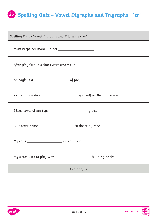## **Spelling Quiz – Vowel Digraphs and Trigraphs - 'er' 35**

| Spelling Quiz - Vowel Digraphs and Trigraphs - 'er'                   |  |
|-----------------------------------------------------------------------|--|
| Mum keeps her money in her ___________________.                       |  |
| After playtime, his shoes were covered in ____________________.       |  |
|                                                                       |  |
|                                                                       |  |
| I keep some of my toys _______________________ my bed.                |  |
| Blue team came ________________________ in the relay race.            |  |
| My cat's _________________________ is really soft.                    |  |
| My sister likes to play with ____________________<br>building bricks. |  |
| <b>End of quiz</b>                                                    |  |

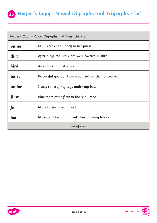## **35 Helper's Copy – Vowel Digraphs and Trigraphs - 'er'**

| Helper's Copy - Vowel Digraphs and Trigraphs - 'er' |                                                              |
|-----------------------------------------------------|--------------------------------------------------------------|
| purse                                               | Mum keeps her money in her <b>purse</b> .                    |
| dirt                                                | After playtime, his shoes were covered in <b>dirt</b> .      |
| <b>bird</b>                                         | An eagle is a <b>bird</b> of prey.                           |
| burn                                                | Be careful you don't <b>burn</b> yourself on the hot cooker. |
| under                                               | I keep some of my toys under my bed.                         |
| first                                               | Blue team came <b>first</b> in the relay race.               |
| fur                                                 | My cat's <b>fur</b> is really soft.                          |
| her                                                 | My sister likes to play with her building bricks.            |
| <b>End of copy</b>                                  |                                                              |

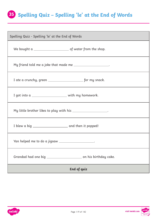## **Spelling Quiz – Spelling 'le' at the End of Words 35**

| Spelling Quiz - Spelling 'le' at the End of Words              |  |
|----------------------------------------------------------------|--|
| We bought $a \_$ $\_$ of water from the shop.                  |  |
| My friend told me a joke that made me _____________________.   |  |
|                                                                |  |
| I got into a _________________________ with my homework.       |  |
| My little brother likes to play with his ____________________. |  |
|                                                                |  |
| Yan helped me to do a jigsaw ___________________.              |  |
|                                                                |  |
| <b>End of quiz</b>                                             |  |



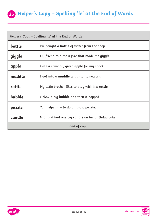

| Helper's Copy - Spelling 'le' at the End of Words |                                                          |
|---------------------------------------------------|----------------------------------------------------------|
| bottle                                            | We bought a <b>bottle</b> of water from the shop.        |
| giggle                                            | My friend told me a joke that made me giggle.            |
| apple                                             | I ate a crunchy, green <b>apple</b> for my snack.        |
| muddle                                            | I got into a <b>muddle</b> with my homework.             |
| rattle                                            | My little brother likes to play with his <b>rattle</b> . |
| bubble                                            | I blew a big <b>bubble</b> and then it popped!           |
| puzzle                                            | Yan helped me to do a jigsaw <b>puzzle</b> .             |
| candle                                            | Grandad had one big <b>candle</b> on his birthday cake.  |
| <b>End of copy</b>                                |                                                          |



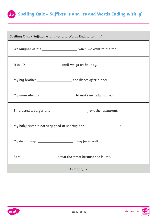

| Spelling Quiz - Suffixes -s and -es and Words Ending with 'y'         |  |  |  |  |
|-----------------------------------------------------------------------|--|--|--|--|
| We laughed at the ________________________ when we went to the zoo.   |  |  |  |  |
|                                                                       |  |  |  |  |
| My big brother _________________________the dishes after dinner.      |  |  |  |  |
| My mum always _____________________ to make me tidy my room.          |  |  |  |  |
|                                                                       |  |  |  |  |
| My baby sister is not very good at sharing her _____________________! |  |  |  |  |
| My dog always _____________________ going for a walk.                 |  |  |  |  |
| Sara _________________________ down the street because she is late.   |  |  |  |  |
| End of quiz                                                           |  |  |  |  |

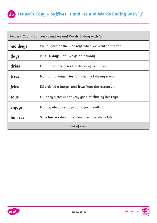

| Helper's Copy - Suffixes -s and -es and Words Ending with 'y'       |                                                            |  |  |  |
|---------------------------------------------------------------------|------------------------------------------------------------|--|--|--|
| monkeys                                                             | We laughed at the monkeys when we went to the zoo.         |  |  |  |
| days                                                                | It is 10 <b>days</b> until we go on holiday.               |  |  |  |
| dries                                                               | My big brother <b>dries</b> the dishes after dinner.       |  |  |  |
| tries                                                               | My mum always <b>tries</b> to make me tidy my room.        |  |  |  |
| fries                                                               | Eli ordered a burger and <b>fries</b> from the restaurant. |  |  |  |
| toys                                                                | My baby sister is not very good at sharing her toys!       |  |  |  |
| enjoys<br>My dog always enjoys going for a walk.                    |                                                            |  |  |  |
| hurries<br>Sara <b>hurries</b> down the street because she is late. |                                                            |  |  |  |
| End of copy                                                         |                                                            |  |  |  |



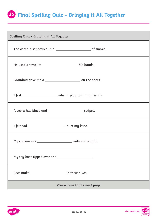## **Final Spelling Quiz – Bringing it All Together 36**

| Spelling Quiz - Bringing it All Together                     |  |  |  |  |
|--------------------------------------------------------------|--|--|--|--|
|                                                              |  |  |  |  |
| He used a towel to _________________________ his hands.      |  |  |  |  |
| Grandma gave me a ____________________________ on the cheek. |  |  |  |  |
| I feel ________________________ when I play with my friends. |  |  |  |  |
|                                                              |  |  |  |  |
|                                                              |  |  |  |  |
| My cousins are ______________________ with us tonight.       |  |  |  |  |
| My toy boat tipped over and __________________.              |  |  |  |  |
|                                                              |  |  |  |  |
| Please turn to the next page                                 |  |  |  |  |

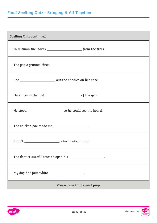## **Final Spelling Quiz - Bringing it All Together**

| Spelling Quiz continued                                   |  |  |  |  |
|-----------------------------------------------------------|--|--|--|--|
|                                                           |  |  |  |  |
| The genie granted three ____________________.             |  |  |  |  |
|                                                           |  |  |  |  |
|                                                           |  |  |  |  |
|                                                           |  |  |  |  |
| The chicken pox made me ____________________.             |  |  |  |  |
| I can't ________________________ which cake to buy!       |  |  |  |  |
| The dentist asked James to open his ____________________. |  |  |  |  |
| My dog has four white ____________________.               |  |  |  |  |
| Please turn to the next page                              |  |  |  |  |



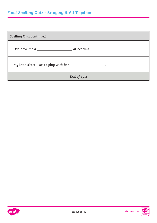## **Final Spelling Quiz - Bringing it All Together**

| Spelling Quiz continued                                       |  |  |  |
|---------------------------------------------------------------|--|--|--|
|                                                               |  |  |  |
| My little sister likes to play with her ____________________. |  |  |  |
| End of quiz                                                   |  |  |  |



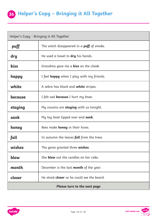| Helper's Copy - Bringing it All Together |                                                    |  |  |  |
|------------------------------------------|----------------------------------------------------|--|--|--|
| puff                                     | The witch disappeared in a $\text{puff}$ of smoke. |  |  |  |
| dry                                      | He used a towel to dry his hands.                  |  |  |  |
| kiss                                     | Grandma gave me a <b>kiss</b> on the cheek.        |  |  |  |
| happy                                    | I feel happy when I play with my friends.          |  |  |  |
| white                                    | A zebra has black and <b>white</b> stripes.        |  |  |  |
| because                                  | I felt sad <b>because</b> I hurt my knee.          |  |  |  |
| staying                                  | My cousins are <b>staying</b> with us tonight.     |  |  |  |
| sank                                     | My toy boat tipped over and sank.                  |  |  |  |
| honey                                    | Bees make <b>honey</b> in their hives.             |  |  |  |
| fall                                     | In autumn the leaves <b>fall</b> from the trees.   |  |  |  |
| wishes                                   | The genie granted three <b>wishes</b> .            |  |  |  |
| blew                                     | She <b>blew</b> out the candles on her cake.       |  |  |  |
| month                                    | December is the last <b>month</b> of the year.     |  |  |  |
| closer                                   | He stood <b>closer</b> so he could see the board.  |  |  |  |
| Please turn to the next page             |                                                    |  |  |  |

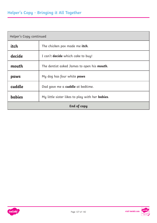| Helper's Copy continued                                                  |                                                    |  |  |  |
|--------------------------------------------------------------------------|----------------------------------------------------|--|--|--|
| itch                                                                     | The chicken pox made me itch.                      |  |  |  |
| decide                                                                   | I can't <b>decide</b> which cake to buy!           |  |  |  |
| mouth                                                                    | The dentist asked James to open his <b>mouth</b> . |  |  |  |
| paws                                                                     | My dog has four white paws                         |  |  |  |
| cuddle<br>Dad gave me a <b>cuddle</b> at bedtime.                        |                                                    |  |  |  |
| <b>babies</b><br>My little sister likes to play with her <b>babies</b> . |                                                    |  |  |  |
| End of copy                                                              |                                                    |  |  |  |

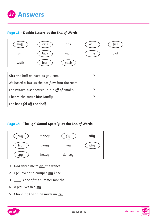

#### **[Page 13](#page-12-0) - Double Letters at the End of Words**



| Kick the ball as hard as you can.                                      |   |
|------------------------------------------------------------------------|---|
| $ $ We heard a $\underline{\text{buz}}$ as the bee flew into the room. |   |
| The wizard disappeared in a <b>puff</b> of smoke.                      | x |
| I heard the snake hiss loudly.                                         |   |
| The book fel off the shelf.                                            |   |

#### **[Page 14](#page-13-0) - The 'igh' Sound Spelt 'y' at the End of Words**



- 1. Dad asked me to dry the dishes.
- 2. I fell over and bumped my knee.
- 3. July is one of the summer months.
- 4. A pig lives in a sty.
- 5. Chopping the onion made me cry.



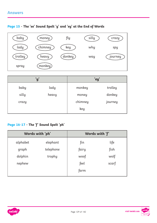#### **[Page 15](#page-14-0) - The 'ee' Sound Spelt 'y' and 'ey' at the End of Words**



|       | 'y'   | 'ey'    |         |  |
|-------|-------|---------|---------|--|
| baby  | lady  | monkey  | trolley |  |
| silly | heavy | money   | donkey  |  |
| crazy |       | chimney | journey |  |
|       |       | key     |         |  |

### **[Page 16](#page-15-0)-[17](#page-16-0) - The 'f' Sound Spelt 'ph'**

| Words with 'ph' |           | Words with 'f' |       |  |
|-----------------|-----------|----------------|-------|--|
| alphabet        | elephant  | fin            | life  |  |
| graph           | telephone | fairy          | fish  |  |
| dolphin         | trophy    | woof           | wolf  |  |
| nephew          |           | feel           | scarf |  |
|                 |           | farm           |       |  |



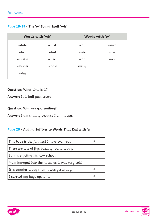| Page 18-19 - The 'w' Sound Spelt 'wh' |  |  |  |  |  |  |  |
|---------------------------------------|--|--|--|--|--|--|--|
|---------------------------------------|--|--|--|--|--|--|--|

| Words with 'wh' |       | Words with 'w' |      |  |
|-----------------|-------|----------------|------|--|
| white           | whisk | wolf           | wind |  |
| when            | what  | wide           | wise |  |
| whistle         | wheel | wag            | wool |  |
| whisper         | whale | welly          |      |  |
| why             |       |                |      |  |

**Question**: What time is it?

**Answer**: It is half past seven

**Question**: Why are you smiling?

**Answer**: I am smiling because I am happy.

#### **[Page 20](#page-19-0) - Adding Suffixes to Words That End with 'y'**

| This book is the <b>funniest</b> I have ever read!     | x |
|--------------------------------------------------------|---|
| There are lots of flys buzzing round today.            |   |
| Sam is <i>enjoiing</i> his new school.                 |   |
| Mum <b>hurryed</b> into the house as it was very cold. |   |
| It is <b>sunnier</b> today than it was yesterday.      | X |
| I <b>carried</b> my bags upstairs.                     | x |

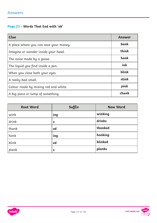### **[Page 21](#page-20-0) - Words That End with 'nk'**

| <b>Clue</b>                            | <b>Answer</b> |
|----------------------------------------|---------------|
| A place where you can save your money. | bank          |
| Imagine or wonder inside your head.    | think         |
| The noise made by a goose.             | honk          |
| The liquid you find inside a pen.      | ink           |
| When you close both your eyes.         | blink         |
| A really bad smell.                    | stink         |
| Colour made by mixing red and white.   | pink          |
| A big piece or lump of something.      | chunk         |

| <b>Root Word</b> | Suffix | <b>New Word</b> |
|------------------|--------|-----------------|
| wink             | ing    | winking         |
| drink            | S      | drinks          |
| thank            | ed     | thanked         |
| honk             | ing    | honking         |
| blink            | ed     | blinked         |
| plank            | S      | planks          |

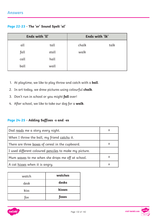| Page 22-23 - The 'or' Sound Spelt 'al' |  |  |  |  |  |
|----------------------------------------|--|--|--|--|--|
|----------------------------------------|--|--|--|--|--|

| Ends with 'll' |       |       | Ends with 'lk' |
|----------------|-------|-------|----------------|
| all            | tall  | chalk | talk           |
| fall           | stall | walk  |                |
| call           | hall  |       |                |
| ball           | wall  |       |                |

- 1. At playtime, we like to play throw and catch with a **ball**.
- 2. In art today, we drew pictures using colourful **chalk**.
- 3. Don't run in school or you might **fall** over!
- 4. After school, we like to take our dog for a **walk**.

#### **[Page 24](#page-23-0)-[25](#page-24-0) - Adding Suffixes -s and -es**

| Dad <u>reads</u> me a story every night.                      | X |
|---------------------------------------------------------------|---|
| When I throw the ball, my friend <u>catchs</u> it.            |   |
| There are three <u>boxes</u> of cereal in the cupboard.       | X |
| I used different coloured <u>penciles</u> to make my picture. |   |
| Mum <u>waves</u> to me when she drops me off at school.       | X |
| A cat <u>hisses</u> when it is angry.                         | X |

| watch | watches |
|-------|---------|
| desk  | desks   |
| kiss  | kisses  |
| fox   | foxes   |

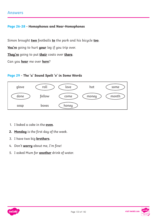#### **Answers**

#### **[Page 26](#page-25-0)-[28](#page-27-0) - Homophones and Near-Homophones**

Simon brought **two** footballs **to** the park and his bicycle **too**.

**You're** going to hurt **your** leg if you trip over.

**They're** going to put **their** coats over **there**.

Can you **hear** me over **here**?

#### **[Page 29](#page-28-0) - The 'u' Sound Spelt 'o' in Some Words**



- 1. I baked a cake in the **oven**.
- **2. Monday** is the first day of the week.
- 3. I have two big **brothers**.
- 4. Don't **worry** about me, I'm fine!
- 5. I asked Mum for **another** drink of water.



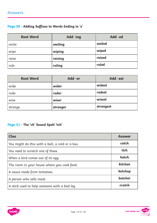### **[Page 30](#page-29-0) - Adding Suffixes to Words Ending in 'e'**

| <b>Root Word</b> | Add -ing | Add -ed |
|------------------|----------|---------|
| smile            | smiling  | smiled  |
| wipe             | wiping   | wiped   |
| raise            | raising  | raised  |
| rule             | ruling   | ruled   |

| <b>Root Word</b> | Add -er  | Add -est  |
|------------------|----------|-----------|
| wide             | wider    | widest    |
| rude             | ruder    | rudest    |
| wise             | wiser    | wisest    |
| strange          | stranger | strangest |

### **[Page 31](#page-30-0) - The 'ch' Sound Spelt 'tch'**

| <b>Clue</b>                                     | <b>Answer</b> |
|-------------------------------------------------|---------------|
| You might do this with a ball, a cold or a bus. | catch         |
| You need to scratch one of these.               | itch          |
| When a bird comes out of its egg.               | hatch         |
| The room in your house where you cook food.     | kitchen       |
| A sauce made from tomatoes.                     | ketchup       |
| A person who sells meat.                        | butcher       |
| A stick used to help someone with a bad leg.    | crutch        |

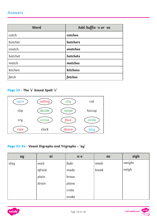#### **Answers**

| Word    | Add Suffix -s or -es |
|---------|----------------------|
| catch   | catches              |
| butcher | butchers             |
| snatch  | snatches             |
| hatchet | hatchets             |
| match   | matches              |
| kitchen | kitchens             |
| fetch   | fetches              |

### **[Page 32](#page-31-0) - The 's' Sound Spelt 'c'**



#### **[Page 33](#page-32-0)-[34](#page-33-0) - Vowel Digraphs and Trigraphs – 'ay'**

| ay   | ai     | $a-e$ | ea    | eigh   |
|------|--------|-------|-------|--------|
| stay | wait   | fade  | steak | weight |
|      | afraid | made  | break | neigh  |
|      | plain  | brave |       |        |
|      | drain  | plane |       |        |
|      |        | crate |       |        |
|      |        | snake |       |        |



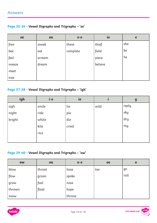#### **Answers**

#### **[Page 35](#page-34-0)-[36](#page-35-0) - Vowel Digraphs and Trigraphs – 'ee'**

| ee     | ea     | $e - e$  | ie      | $\mathbf e$ |
|--------|--------|----------|---------|-------------|
| free   | sneak  | these    | thief   | she         |
| bee    | eat    | complete | field   | be          |
| feel   | scream |          | piece   | he          |
| sneeze | dream  |          | believe |             |
| meet   |        |          |         |             |
| tree   |        |          |         |             |

### **[Page 37](#page-36-0)-[38](#page-37-0) - Vowel Digraphs and Trigraphs – 'igh'**

| igh    | $i-e$ | ie    |      | $\mathbf{y}$ |
|--------|-------|-------|------|--------------|
| sigh   | smile | lie   | wild | reply        |
| night  | ride  | pie   |      | sky          |
| bright | white | die   |      | dry          |
|        | kite  | cried |      | my           |
|        | rice  |       |      |              |
|        |       |       |      |              |

#### **[Page 39](#page-38-0)-[40](#page-39-0) - Vowel Digraphs and Trigraphs – 'ow'**

| <b>OW</b> | oa      | $O - C$ | oe  | $\mathbf 0$ |
|-----------|---------|---------|-----|-------------|
| blow      | throat  | hose    | toe | go          |
| flow      | ' groan | spoke   |     | roll        |
| grow      | foal    | nose    |     |             |
| thrown    | float   | hope    |     |             |
| snow      |         | throne  |     |             |





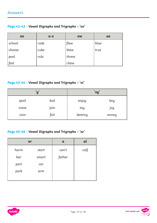#### **[Page 41](#page-40-0)-[42](#page-41-0) - Vowel Digraphs and Trigraphs – 'oo'**

| 00       | $u-e$ | ew    | ue   |
|----------|-------|-------|------|
| school   | rude  | flew  | blue |
| choose   | Luke  | blew  | true |
| pool     | rule  | threw |      |
| $ $ fool |       | chew  |      |

#### **[Page 43](#page-42-0)-[44](#page-43-0) - Vowel Digraphs and Trigraphs – 'oi'**

| 'y'   |      |         | 'ey'  |
|-------|------|---------|-------|
| spoil | boil | enjoy   | boy   |
| noise | join | toy     | joy   |
| coin  | foil | destroy | annoy |

#### **[Page 45](#page-44-0)-[46](#page-45-0) - Vowel Digraphs and Trigraphs – 'ar'**

|      | ar    | $\mathbf{a}$ | al   |
|------|-------|--------------|------|
| harm | start | can't        | calf |
| bar  | smart | father       |      |
| part | car   |              |      |
| park | arm   |              |      |
|      |       |              |      |

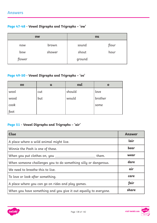#### **[Page 47](#page-46-0)-[48](#page-47-0) - Vowel Digraphs and Trigraphs – 'ow'**

| <b>OW</b> |        | ou     |       |
|-----------|--------|--------|-------|
| now       | brown  | sound  | flour |
| bow       | shower | shout  | hour  |
| flower    |        | ground |       |

### **[Page 49](#page-48-0)-[50](#page-49-0) - Vowel Digraphs and Trigraphs – 'oo'**

| 00   | $\mathbf u$ | oul    | O       |
|------|-------------|--------|---------|
| wool | cut         | should | love    |
| wood | but         | would  | brother |
| cook |             |        | some    |
| foot |             |        |         |

#### **[Page 51](#page-50-0) - Vowel Digraphs and Trigraphs – 'air'**

| <b>Clue</b>                                                      | <b>Answer</b> |
|------------------------------------------------------------------|---------------|
| A place where a wild animal might live.                          | lair          |
| Winnie the Pooh is one of these.                                 | bear          |
| When you put clothes on, you _____<br>them.                      | wear          |
| When someone challenges you to do something silly or dangerous.  | dare          |
| We need to breathe this to live.                                 | air           |
| To love or look after something.                                 | care          |
| A place where you can go on rides and play games.                | fair          |
| When you have something and you give it out equally to everyone. | share         |

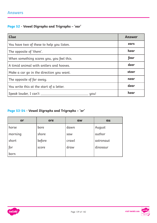#### **Answers**

### **[Page 52](#page-51-0) - Vowel Digraphs and Trigraphs – 'ear'**

| <b>Clue</b>                               | <b>Answer</b> |
|-------------------------------------------|---------------|
| You have two of these to help you listen. | ears          |
| The opposite of 'there'.                  | hear          |
| When something scares you, you feel this. | fear          |
| A timid animal with antlers and hooves.   | deer          |
| Make a car go in the direction you want.  | steer         |
| The opposite of far away.                 | near          |
| You write this at the start of a letter.  | dear          |
| Speak louder, I can't _<br>you!           | hear          |

### **[Page 53](#page-52-0)-[54](#page-53-0) - Vowel Digraphs and Trigraphs – 'or'**

| or      | ore    | <b>aw</b> | au        |
|---------|--------|-----------|-----------|
| horse   | bore   | dawn      | August    |
| morning | shore  | saw       | author    |
| short   | before | crawl     | astronaut |
| for     | score  | draw      | dinosaur  |
| born    |        |           |           |



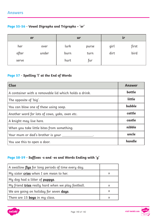### **[Page 55](#page-54-0)-[56](#page-55-0) - Vowel Digraphs and Trigraphs – 'er'**

| er           |               | ur           |               | ir           |               |
|--------------|---------------|--------------|---------------|--------------|---------------|
| her<br>after | over<br>under | lurk<br>burn | purse<br>turn | girl<br>dirt | first<br>bird |
| serve        |               | hurt         | fur           |              |               |

#### **[Page 57](#page-56-0) - Spelling 'l' at the End of Words**

| <b>Clue</b>                                           | Answer |
|-------------------------------------------------------|--------|
| A container with a removable lid which holds a drink. | bottle |
| The opposite of 'big'.                                | little |
| You can blow one of these using soap.                 | bubble |
| Another word for lots of cows, yaks, oxen etc.        | cattle |
| A knight may live here.                               | castle |
| When you take little bites from something.            | nibble |
| Your mum or dad's brother is your ______              | uncle  |
| You use this to open a door.                          | handle |

#### **[Page 58](#page-57-0)-[59](#page-58-0) - Suffixes -s and -es and Words Ending with 'y'**

| A swallow flys for long periods of time every day.        |          |
|-----------------------------------------------------------|----------|
| My sister cries when I am mean to her.                    | X        |
| My dog had a litter of <b>puppys</b> .                    |          |
| My friend <b>tries</b> really hard when we play football. | $\times$ |
| We are going on holiday for seven days.                   | $\times$ |
| There are 15 <b>boys</b> in my class.                     |          |



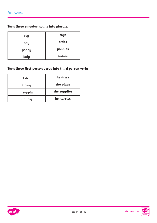**Turn these singular nouns into plurals.**

| toy   | toys    |
|-------|---------|
| city  | cities  |
| poppy | poppies |
| lady  | ladies  |

### **Turn these first person verbs into third person verbs.**

| I dry    | he dries     |
|----------|--------------|
| I play   | she plays    |
| I supply | she supplies |
| I hurry  | he hurries   |